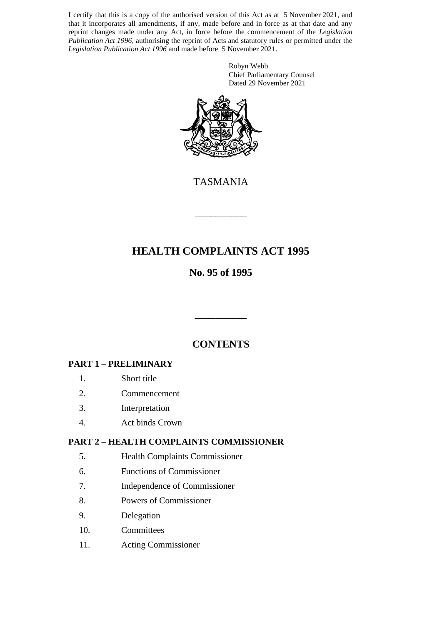I certify that this is a copy of the authorised version of this Act as at 5 November 2021, and that it incorporates all amendments, if any, made before and in force as at that date and any reprint changes made under any Act, in force before the commencement of the *Legislation Publication Act 1996*, authorising the reprint of Acts and statutory rules or permitted under the *Legislation Publication Act 1996* and made before 5 November 2021.

> Robyn Webb Chief Parliamentary Counsel Dated 29 November 2021



TASMANIA

\_\_\_\_\_\_\_\_\_\_

# **HEALTH COMPLAINTS ACT 1995**

# **No. 95 of 1995**

# **CONTENTS**

\_\_\_\_\_\_\_\_\_\_

## **PART 1 – PRELIMINARY**

- 1. Short title
- 2. Commencement
- 3. Interpretation
- 4. Act binds Crown

## **PART 2 – HEALTH COMPLAINTS COMMISSIONER**

- 5. Health Complaints Commissioner
- 6. Functions of Commissioner
- 7. Independence of Commissioner
- 8. Powers of Commissioner
- 9. Delegation
- 10. Committees
- 11. Acting Commissioner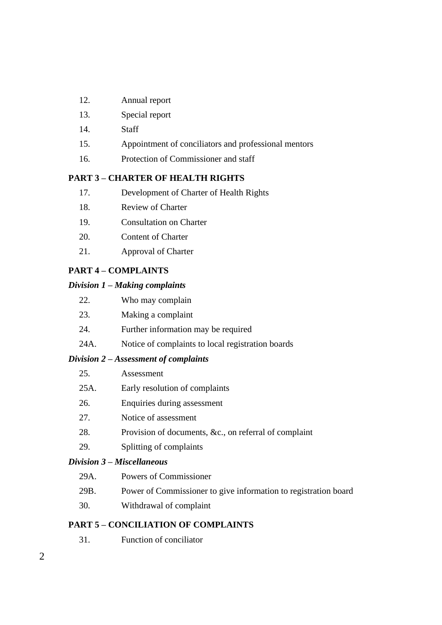- 12. Annual report
- 13. Special report
- 14. Staff
- 15. Appointment of conciliators and professional mentors
- 16. Protection of Commissioner and staff

#### **PART 3 – CHARTER OF HEALTH RIGHTS**

- 17. Development of Charter of Health Rights
- 18. Review of Charter
- 19. Consultation on Charter
- 20. Content of Charter
- 21. Approval of Charter

## **PART 4 – COMPLAINTS**

#### *Division 1 – Making complaints*

| 22. | Who may complain |  |
|-----|------------------|--|
|     |                  |  |

- 23. Making a complaint
- 24. Further information may be required
- 24A. Notice of complaints to local registration boards

## *Division 2 – Assessment of complaints*

| 25.  | Assessment                                            |
|------|-------------------------------------------------------|
| 25A. | Early resolution of complaints                        |
| 26.  | Enquiries during assessment                           |
| 27.  | Notice of assessment                                  |
| 28.  | Provision of documents, &c., on referral of complaint |
|      |                                                       |

29. Splitting of complaints

## *Division 3 – Miscellaneous*

- 29A. Powers of Commissioner
- 29B. Power of Commissioner to give information to registration board
- 30. Withdrawal of complaint

## **PART 5 – CONCILIATION OF COMPLAINTS**

31. Function of conciliator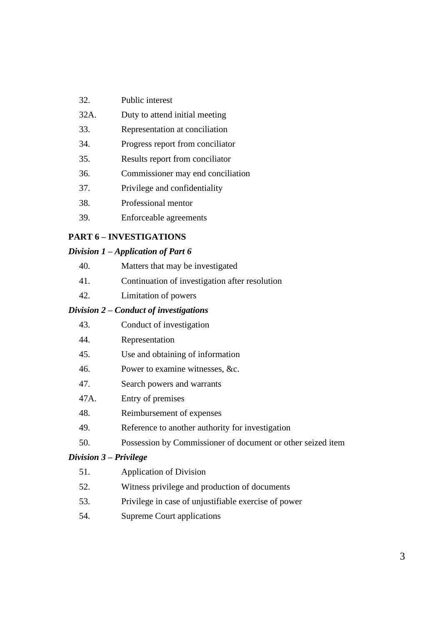- 32. Public interest
- 32A. Duty to attend initial meeting
- 33. Representation at conciliation
- 34. Progress report from conciliator
- 35. Results report from conciliator
- 36. Commissioner may end conciliation
- 37. Privilege and confidentiality
- 38. Professional mentor
- 39. Enforceable agreements

#### **PART 6 – INVESTIGATIONS**

#### *Division 1 – Application of Part 6*

- 40. Matters that may be investigated
- 41. Continuation of investigation after resolution
- 42. Limitation of powers

#### *Division 2 – Conduct of investigations*

- 43. Conduct of investigation
- 44. Representation
- 45. Use and obtaining of information
- 46. Power to examine witnesses, &c.
- 47. Search powers and warrants
- 47A. Entry of premises
- 48. Reimbursement of expenses
- 49. Reference to another authority for investigation
- 50. Possession by Commissioner of document or other seized item

#### *Division 3 – Privilege*

- 51. Application of Division
- 52. Witness privilege and production of documents
- 53. Privilege in case of unjustifiable exercise of power
- 54. Supreme Court applications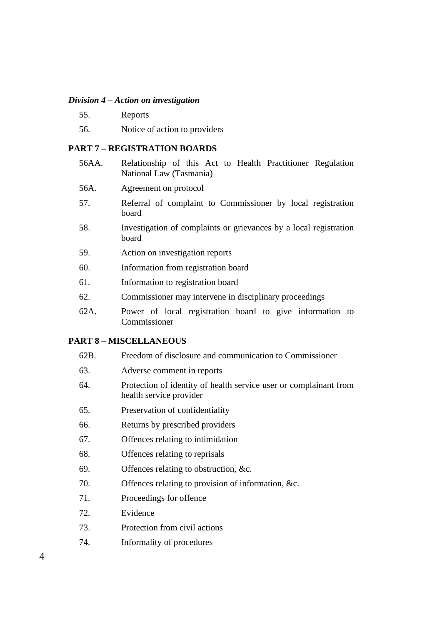#### *Division 4 – Action on investigation*

- 55. Reports
- 56. Notice of action to providers

#### **PART 7 – REGISTRATION BOARDS**

- 56AA. Relationship of this Act to Health Practitioner Regulation National Law (Tasmania)
- 56A. Agreement on protocol
- 57. Referral of complaint to Commissioner by local registration board
- 58. Investigation of complaints or grievances by a local registration board
- 59. Action on investigation reports
- 60. Information from registration board
- 61. Information to registration board
- 62. Commissioner may intervene in disciplinary proceedings
- 62A. Power of local registration board to give information to Commissioner

#### **PART 8 – MISCELLANEOUS**

- 62B. Freedom of disclosure and communication to Commissioner
- 63. Adverse comment in reports
- 64. Protection of identity of health service user or complainant from health service provider
- 65. Preservation of confidentiality
- 66. Returns by prescribed providers
- 67. Offences relating to intimidation
- 68. Offences relating to reprisals
- 69. Offences relating to obstruction, &c.
- 70. Offences relating to provision of information, &c.
- 71. Proceedings for offence
- 72. Evidence
- 73. Protection from civil actions
- 74. Informality of procedures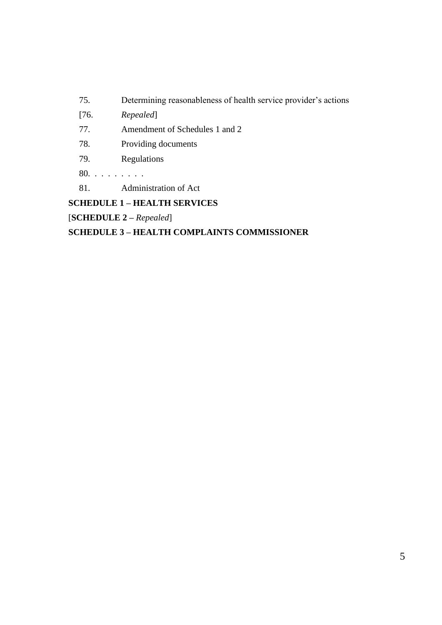## 75. Determining reasonableness of health service provider's actions

[76. *Repealed*]

- 77. Amendment of Schedules 1 and 2
- 78. Providing documents
- 79. Regulations
- 80. . . . . . . . .
- 81. Administration of Act

# **SCHEDULE 1 – HEALTH SERVICES**

[**SCHEDULE 2 –** *Repealed*]

## **SCHEDULE 3 – HEALTH COMPLAINTS COMMISSIONER**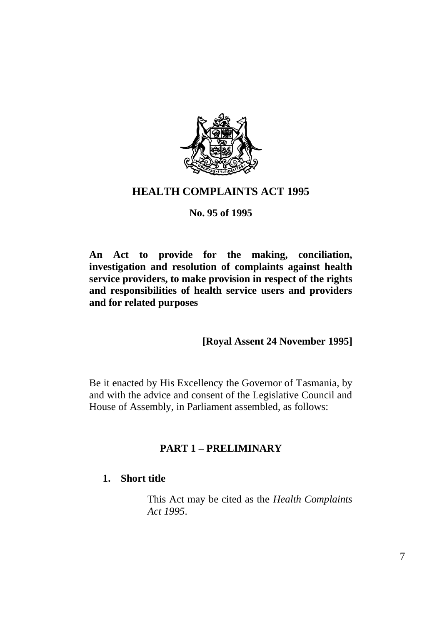

# **HEALTH COMPLAINTS ACT 1995**

## **No. 95 of 1995**

**An Act to provide for the making, conciliation, investigation and resolution of complaints against health service providers, to make provision in respect of the rights and responsibilities of health service users and providers and for related purposes**

## **[Royal Assent 24 November 1995]**

Be it enacted by His Excellency the Governor of Tasmania, by and with the advice and consent of the Legislative Council and House of Assembly, in Parliament assembled, as follows:

## **PART 1 – PRELIMINARY**

## **1. Short title**

This Act may be cited as the *Health Complaints Act 1995*.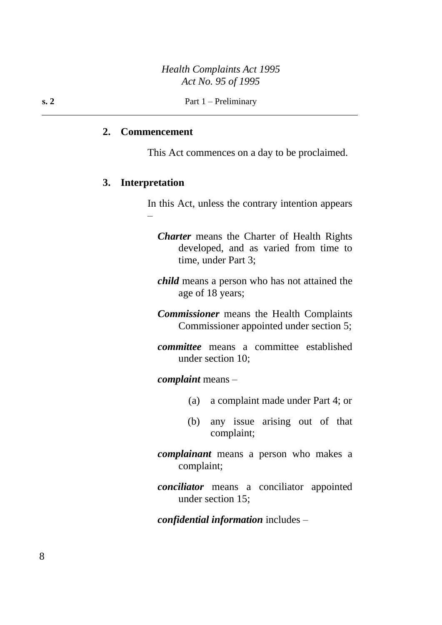#### **2. Commencement**

This Act commences on a day to be proclaimed.

#### **3. Interpretation**

–

In this Act, unless the contrary intention appears

- *Charter* means the Charter of Health Rights developed, and as varied from time to time, under Part 3;
- *child* means a person who has not attained the age of 18 years;
- *Commissioner* means the Health Complaints Commissioner appointed under section 5;
- *committee* means a committee established under section 10;

*complaint* means –

- (a) a complaint made under Part 4; or
- (b) any issue arising out of that complaint;
- *complainant* means a person who makes a complaint;
- *conciliator* means a conciliator appointed under section 15;

*confidential information* includes –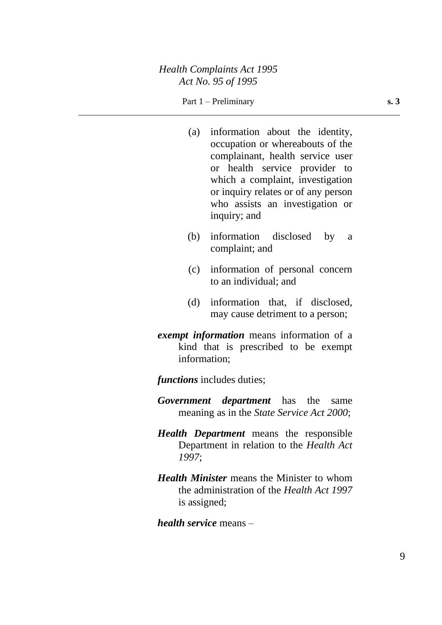#### Part 1 – Preliminary **s. 3**

- (a) information about the identity, occupation or whereabouts of the complainant, health service user or health service provider to which a complaint, investigation or inquiry relates or of any person who assists an investigation or inquiry; and
- (b) information disclosed by a complaint; and
- (c) information of personal concern to an individual; and
- (d) information that, if disclosed, may cause detriment to a person;
- *exempt information* means information of a kind that is prescribed to be exempt information;

*functions* includes duties;

- *Government department* has the same meaning as in the *State Service Act 2000*;
- *Health Department* means the responsible Department in relation to the *Health Act 1997*;
- *Health Minister* means the Minister to whom the administration of the *Health Act 1997* is assigned;
- *health service* means –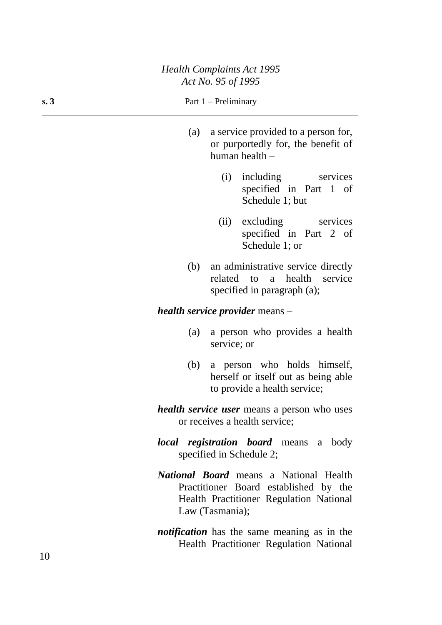#### **s. 3** Part  $1 - \text{Preliminary}$

- (a) a service provided to a person for, or purportedly for, the benefit of human health –
	- (i) including services specified in Part 1 of Schedule 1; but
	- (ii) excluding services specified in Part 2 of Schedule 1; or
- (b) an administrative service directly related to a health service specified in paragraph (a);

#### *health service provider* means –

- (a) a person who provides a health service; or
- (b) a person who holds himself, herself or itself out as being able to provide a health service;
- *health service user* means a person who uses or receives a health service;
- *local registration board* means a body specified in Schedule 2;
- *National Board* means a National Health Practitioner Board established by the Health Practitioner Regulation National Law (Tasmania);
- *notification* has the same meaning as in the Health Practitioner Regulation National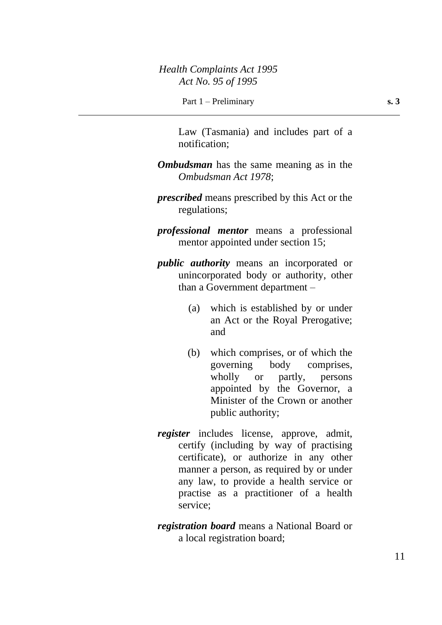Law (Tasmania) and includes part of a notification;

- *Ombudsman* has the same meaning as in the *Ombudsman Act 1978*;
- *prescribed* means prescribed by this Act or the regulations;
- *professional mentor* means a professional mentor appointed under section 15;
- *public authority* means an incorporated or unincorporated body or authority, other than a Government department –
	- (a) which is established by or under an Act or the Royal Prerogative; and
	- (b) which comprises, or of which the governing body comprises, wholly or partly, persons appointed by the Governor, a Minister of the Crown or another public authority;
- *register* includes license, approve, admit, certify (including by way of practising certificate), or authorize in any other manner a person, as required by or under any law, to provide a health service or practise as a practitioner of a health service;
- *registration board* means a National Board or a local registration board;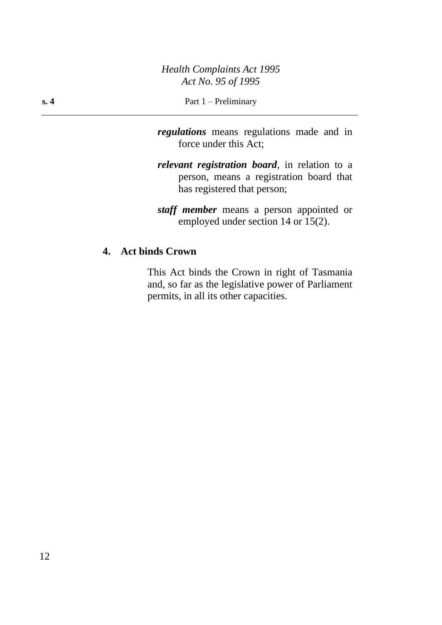- *regulations* means regulations made and in force under this Act;
- *relevant registration board*, in relation to a person, means a registration board that has registered that person;
- *staff member* means a person appointed or employed under section 14 or 15(2).

## **4. Act binds Crown**

This Act binds the Crown in right of Tasmania and, so far as the legislative power of Parliament permits, in all its other capacities.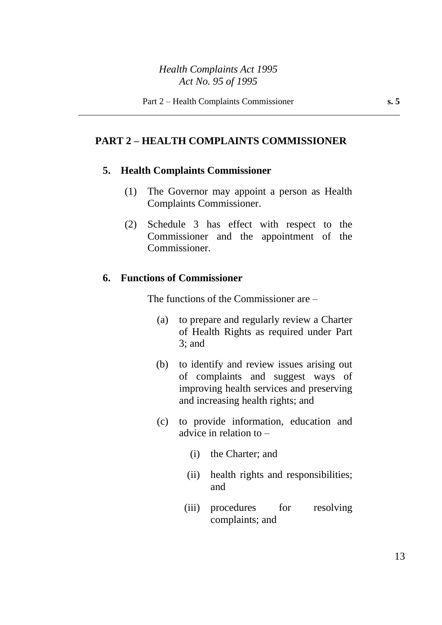## **PART 2 – HEALTH COMPLAINTS COMMISSIONER**

#### **5. Health Complaints Commissioner**

- (1) The Governor may appoint a person as Health Complaints Commissioner.
- (2) Schedule 3 has effect with respect to the Commissioner and the appointment of the Commissioner.

#### **6. Functions of Commissioner**

The functions of the Commissioner are –

- (a) to prepare and regularly review a Charter of Health Rights as required under Part 3; and
- (b) to identify and review issues arising out of complaints and suggest ways of improving health services and preserving and increasing health rights; and
- (c) to provide information, education and advice in relation to –
	- (i) the Charter; and
	- (ii) health rights and responsibilities; and
	- (iii) procedures for resolving complaints; and

13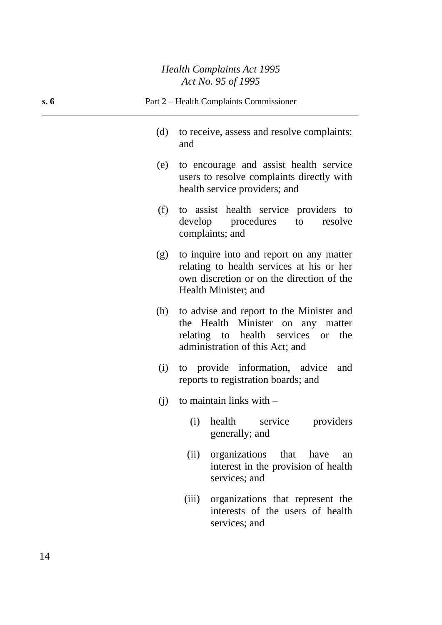| s.6 |     | Part 2 – Health Complaints Commissioner                                                                                                                             |
|-----|-----|---------------------------------------------------------------------------------------------------------------------------------------------------------------------|
|     | (d) | to receive, assess and resolve complaints;<br>and                                                                                                                   |
|     | (e) | to encourage and assist health service<br>users to resolve complaints directly with<br>health service providers; and                                                |
|     | (f) | to assist health service providers to<br>develop procedures<br>to<br>resolve<br>complaints; and                                                                     |
|     | (g) | to inquire into and report on any matter<br>relating to health services at his or her<br>own discretion or on the direction of the<br>Health Minister; and          |
|     | (h) | to advise and report to the Minister and<br>the Health Minister on any matter<br>relating to health services<br>the<br><b>or</b><br>administration of this Act; and |
|     | (i) | to provide information, advice<br>and<br>reports to registration boards; and                                                                                        |
|     | (j) | to maintain links with $-$                                                                                                                                          |
|     |     | health<br>service<br>providers<br>(i)<br>generally; and                                                                                                             |
|     |     | organizations<br>that<br>(ii)<br>have<br>an<br>interest in the provision of health<br>services; and                                                                 |
|     |     | organizations that represent the<br>(iii)<br>interests of the users of health<br>services; and                                                                      |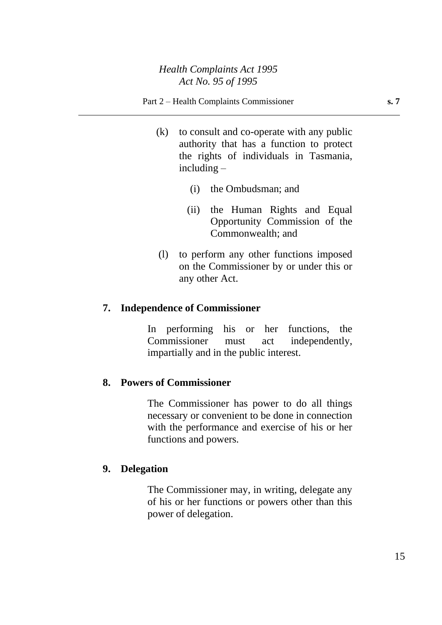- (k) to consult and co-operate with any public authority that has a function to protect the rights of individuals in Tasmania, including –
	- (i) the Ombudsman; and
	- (ii) the Human Rights and Equal Opportunity Commission of the Commonwealth; and
- (l) to perform any other functions imposed on the Commissioner by or under this or any other Act.

## **7. Independence of Commissioner**

In performing his or her functions, the Commissioner must act independently, impartially and in the public interest.

## **8. Powers of Commissioner**

The Commissioner has power to do all things necessary or convenient to be done in connection with the performance and exercise of his or her functions and powers.

# **9. Delegation**

The Commissioner may, in writing, delegate any of his or her functions or powers other than this power of delegation.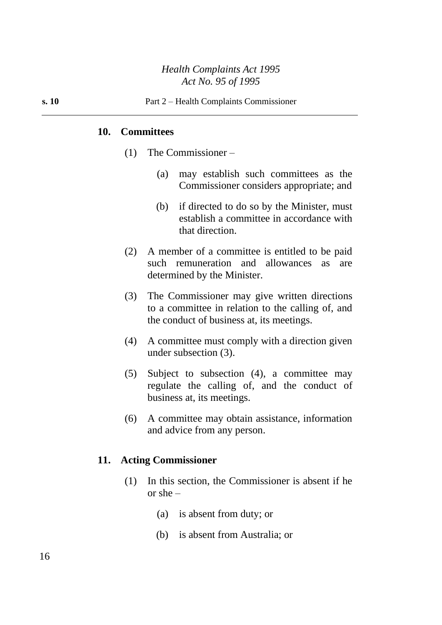#### **10. Committees**

- (1) The Commissioner
	- (a) may establish such committees as the Commissioner considers appropriate; and
	- (b) if directed to do so by the Minister, must establish a committee in accordance with that direction.
- (2) A member of a committee is entitled to be paid such remuneration and allowances as are determined by the Minister.
- (3) The Commissioner may give written directions to a committee in relation to the calling of, and the conduct of business at, its meetings.
- (4) A committee must comply with a direction given under subsection (3).
- (5) Subject to subsection (4), a committee may regulate the calling of, and the conduct of business at, its meetings.
- (6) A committee may obtain assistance, information and advice from any person.

#### **11. Acting Commissioner**

- (1) In this section, the Commissioner is absent if he or she –
	- (a) is absent from duty; or
	- (b) is absent from Australia; or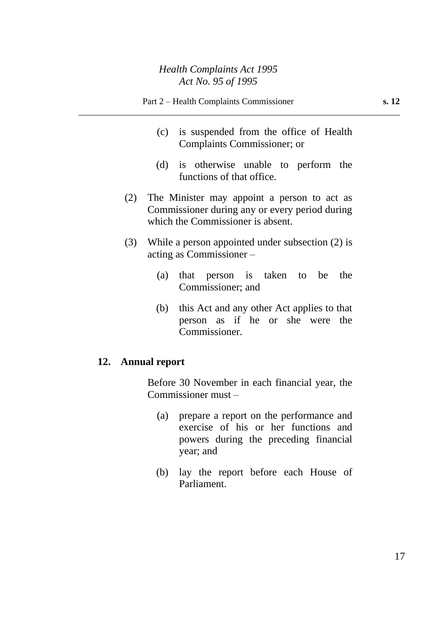- Part 2 Health Complaints Commissioner **s. 12**
	- (c) is suspended from the office of Health Complaints Commissioner; or
	- (d) is otherwise unable to perform the functions of that office.
- (2) The Minister may appoint a person to act as Commissioner during any or every period during which the Commissioner is absent.
- (3) While a person appointed under subsection (2) is acting as Commissioner –
	- (a) that person is taken to be the Commissioner; and
	- (b) this Act and any other Act applies to that person as if he or she were the Commissioner.

## **12. Annual report**

Before 30 November in each financial year, the Commissioner must –

- (a) prepare a report on the performance and exercise of his or her functions and powers during the preceding financial year; and
- (b) lay the report before each House of Parliament.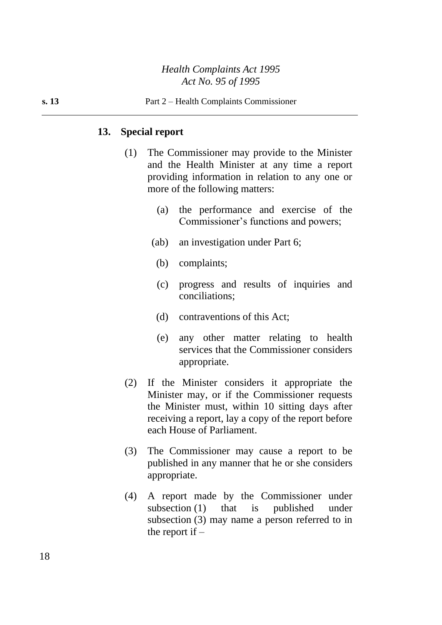#### **13. Special report**

- (1) The Commissioner may provide to the Minister and the Health Minister at any time a report providing information in relation to any one or more of the following matters:
	- (a) the performance and exercise of the Commissioner's functions and powers;
	- (ab) an investigation under Part 6;
		- (b) complaints;
		- (c) progress and results of inquiries and conciliations;
		- (d) contraventions of this Act;
		- (e) any other matter relating to health services that the Commissioner considers appropriate.
- (2) If the Minister considers it appropriate the Minister may, or if the Commissioner requests the Minister must, within 10 sitting days after receiving a report, lay a copy of the report before each House of Parliament.
- (3) The Commissioner may cause a report to be published in any manner that he or she considers appropriate.
- (4) A report made by the Commissioner under subsection (1) that is published under subsection (3) may name a person referred to in the report if  $-$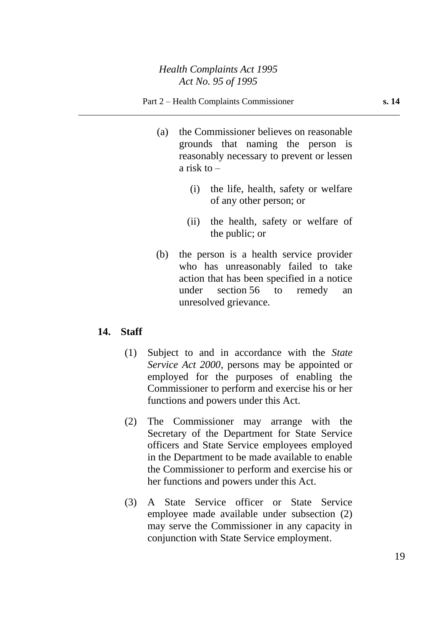- (a) the Commissioner believes on reasonable grounds that naming the person is reasonably necessary to prevent or lessen a risk to  $-$ 
	- (i) the life, health, safety or welfare of any other person; or
	- (ii) the health, safety or welfare of the public; or
- (b) the person is a health service provider who has unreasonably failed to take action that has been specified in a notice under section 56 to remedy an unresolved grievance.

## **14. Staff**

- (1) Subject to and in accordance with the *State Service Act 2000*, persons may be appointed or employed for the purposes of enabling the Commissioner to perform and exercise his or her functions and powers under this Act.
- (2) The Commissioner may arrange with the Secretary of the Department for State Service officers and State Service employees employed in the Department to be made available to enable the Commissioner to perform and exercise his or her functions and powers under this Act.
- (3) A State Service officer or State Service employee made available under subsection (2) may serve the Commissioner in any capacity in conjunction with State Service employment.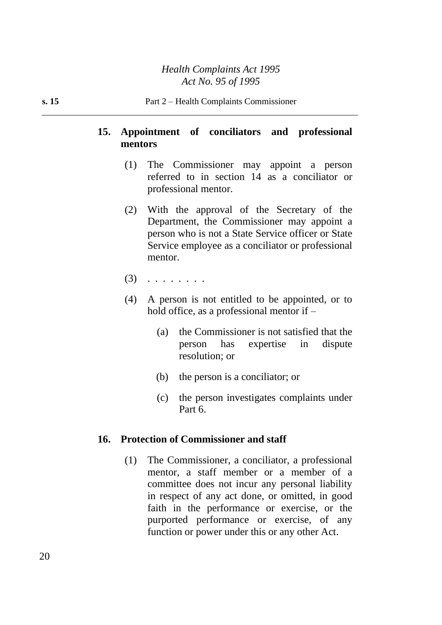## **15. Appointment of conciliators and professional mentors**

- (1) The Commissioner may appoint a person referred to in section 14 as a conciliator or professional mentor.
- (2) With the approval of the Secretary of the Department, the Commissioner may appoint a person who is not a State Service officer or State Service employee as a conciliator or professional mentor.
- $(3)$  . . . . . . . .
- (4) A person is not entitled to be appointed, or to hold office, as a professional mentor if –
	- (a) the Commissioner is not satisfied that the person has expertise in dispute resolution; or
	- (b) the person is a conciliator; or
	- (c) the person investigates complaints under Part 6.

#### **16. Protection of Commissioner and staff**

(1) The Commissioner, a conciliator, a professional mentor, a staff member or a member of a committee does not incur any personal liability in respect of any act done, or omitted, in good faith in the performance or exercise, or the purported performance or exercise, of any function or power under this or any other Act.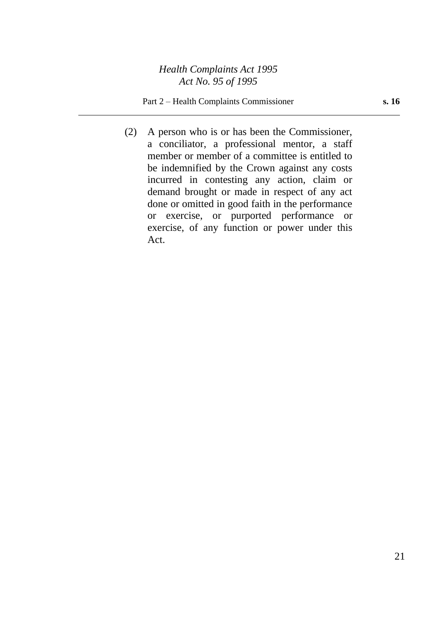#### Part 2 – Health Complaints Commissioner **s. 16**

(2) A person who is or has been the Commissioner, a conciliator, a professional mentor, a staff member or member of a committee is entitled to be indemnified by the Crown against any costs incurred in contesting any action, claim or demand brought or made in respect of any act done or omitted in good faith in the performance or exercise, or purported performance or exercise, of any function or power under this Act.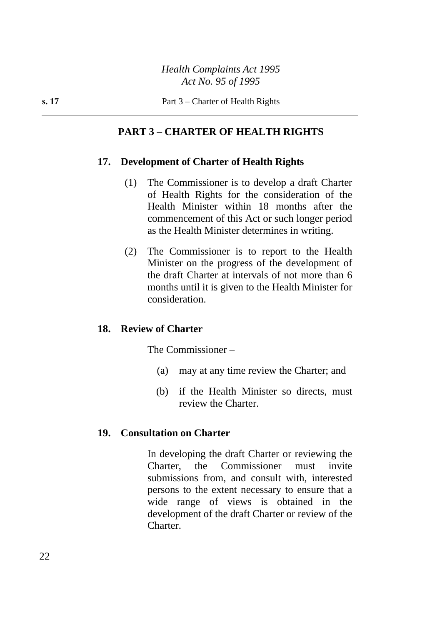## **PART 3 – CHARTER OF HEALTH RIGHTS**

#### **17. Development of Charter of Health Rights**

- (1) The Commissioner is to develop a draft Charter of Health Rights for the consideration of the Health Minister within 18 months after the commencement of this Act or such longer period as the Health Minister determines in writing.
- (2) The Commissioner is to report to the Health Minister on the progress of the development of the draft Charter at intervals of not more than 6 months until it is given to the Health Minister for consideration.

#### **18. Review of Charter**

The Commissioner –

- (a) may at any time review the Charter; and
- (b) if the Health Minister so directs, must review the Charter.

#### **19. Consultation on Charter**

In developing the draft Charter or reviewing the Charter, the Commissioner must invite submissions from, and consult with, interested persons to the extent necessary to ensure that a wide range of views is obtained in the development of the draft Charter or review of the Charter.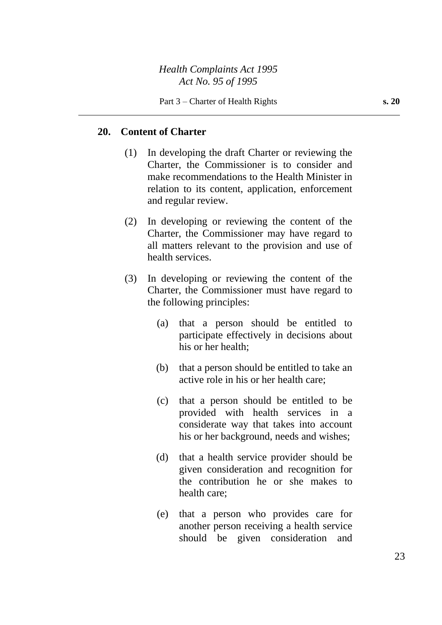#### **20. Content of Charter**

- (1) In developing the draft Charter or reviewing the Charter, the Commissioner is to consider and make recommendations to the Health Minister in relation to its content, application, enforcement and regular review.
- (2) In developing or reviewing the content of the Charter, the Commissioner may have regard to all matters relevant to the provision and use of health services.
- (3) In developing or reviewing the content of the Charter, the Commissioner must have regard to the following principles:
	- (a) that a person should be entitled to participate effectively in decisions about his or her health;
	- (b) that a person should be entitled to take an active role in his or her health care;
	- (c) that a person should be entitled to be provided with health services in a considerate way that takes into account his or her background, needs and wishes;
	- (d) that a health service provider should be given consideration and recognition for the contribution he or she makes to health care;
	- (e) that a person who provides care for another person receiving a health service should be given consideration and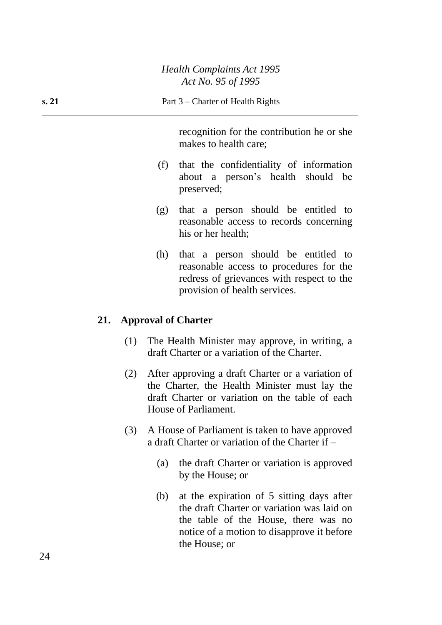recognition for the contribution he or she makes to health care;

- (f) that the confidentiality of information about a person's health should be preserved;
- (g) that a person should be entitled to reasonable access to records concerning his or her health;
- (h) that a person should be entitled to reasonable access to procedures for the redress of grievances with respect to the provision of health services.

## **21. Approval of Charter**

- (1) The Health Minister may approve, in writing, a draft Charter or a variation of the Charter.
- (2) After approving a draft Charter or a variation of the Charter, the Health Minister must lay the draft Charter or variation on the table of each House of Parliament.
- (3) A House of Parliament is taken to have approved a draft Charter or variation of the Charter if –
	- (a) the draft Charter or variation is approved by the House; or
	- (b) at the expiration of 5 sitting days after the draft Charter or variation was laid on the table of the House, there was no notice of a motion to disapprove it before the House; or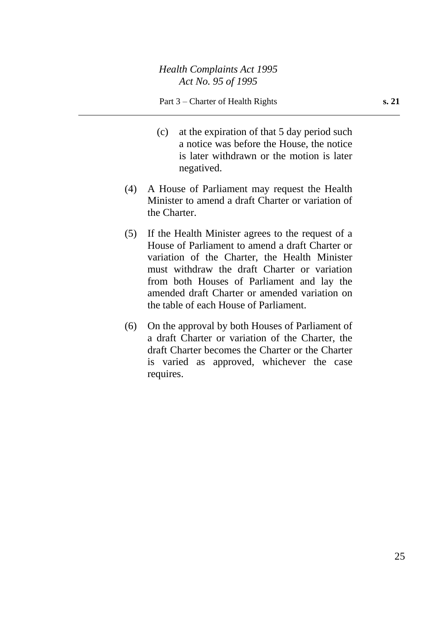- (c) at the expiration of that 5 day period such a notice was before the House, the notice is later withdrawn or the motion is later negatived.
- (4) A House of Parliament may request the Health Minister to amend a draft Charter or variation of the Charter.
- (5) If the Health Minister agrees to the request of a House of Parliament to amend a draft Charter or variation of the Charter, the Health Minister must withdraw the draft Charter or variation from both Houses of Parliament and lay the amended draft Charter or amended variation on the table of each House of Parliament.
- (6) On the approval by both Houses of Parliament of a draft Charter or variation of the Charter, the draft Charter becomes the Charter or the Charter is varied as approved, whichever the case requires.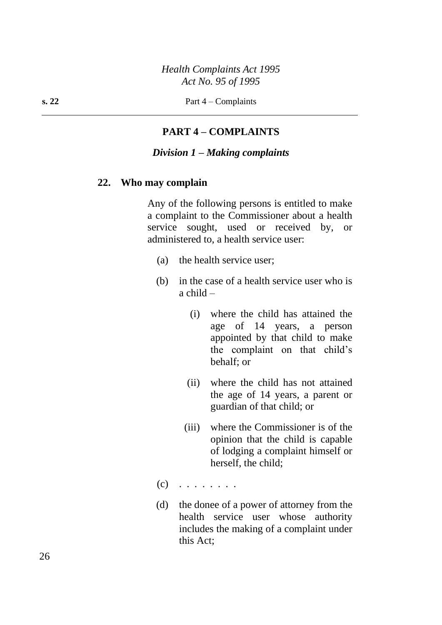**s. 22** Part  $4 -$  Complaints

## **PART 4 – COMPLAINTS**

#### *Division 1 – Making complaints*

#### **22. Who may complain**

Any of the following persons is entitled to make a complaint to the Commissioner about a health service sought, used or received by, or administered to, a health service user:

- (a) the health service user;
- (b) in the case of a health service user who is  $a$  child  $-$ 
	- (i) where the child has attained the age of 14 years, a person appointed by that child to make the complaint on that child's behalf; or
	- (ii) where the child has not attained the age of 14 years, a parent or guardian of that child; or
	- (iii) where the Commissioner is of the opinion that the child is capable of lodging a complaint himself or herself, the child;
- $(c)$  . . . . . . . .
- (d) the donee of a power of attorney from the health service user whose authority includes the making of a complaint under this Act;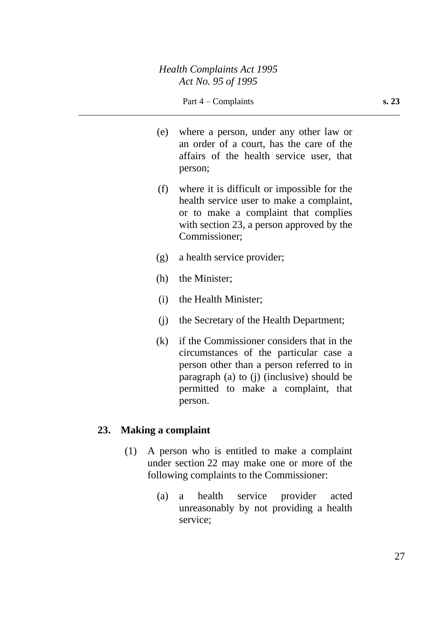- (e) where a person, under any other law or an order of a court, has the care of the affairs of the health service user, that person;
- (f) where it is difficult or impossible for the health service user to make a complaint, or to make a complaint that complies with section 23, a person approved by the Commissioner;
- (g) a health service provider;
- (h) the Minister;
- (i) the Health Minister;
- (j) the Secretary of the Health Department;
- (k) if the Commissioner considers that in the circumstances of the particular case a person other than a person referred to in paragraph (a) to (j) (inclusive) should be permitted to make a complaint, that person.

## **23. Making a complaint**

- (1) A person who is entitled to make a complaint under section 22 may make one or more of the following complaints to the Commissioner:
	- (a) a health service provider acted unreasonably by not providing a health service;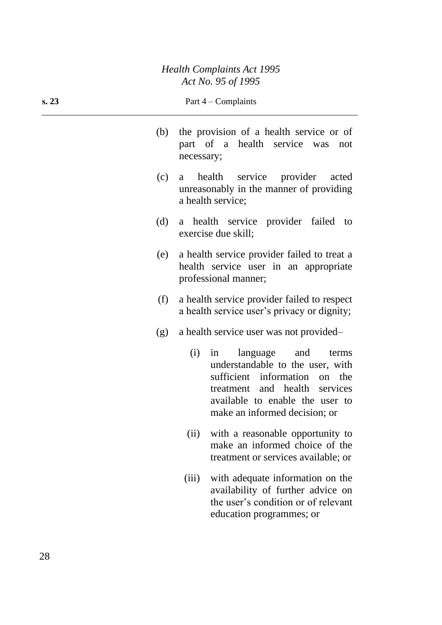| s. 23 | Part $4$ – Complaints                                                                                                                                                                                           |
|-------|-----------------------------------------------------------------------------------------------------------------------------------------------------------------------------------------------------------------|
| (b)   | the provision of a health service or of<br>part of a health service was<br>not<br>necessary;                                                                                                                    |
| (c)   | health<br>service<br>provider<br>acted<br>a<br>unreasonably in the manner of providing<br>a health service;                                                                                                     |
| (d)   | a health service provider failed<br>to<br>exercise due skill;                                                                                                                                                   |
| (e)   | a health service provider failed to treat a<br>health service user in an appropriate<br>professional manner;                                                                                                    |
| (f)   | a health service provider failed to respect<br>a health service user's privacy or dignity;                                                                                                                      |
| (g)   | a health service user was not provided-                                                                                                                                                                         |
|       | (i)<br>language and<br>in<br>terms<br>understandable to the user, with<br>sufficient information<br>on the<br>treatment and health services<br>available to enable the user to<br>make an informed decision; or |
|       | with a reasonable opportunity to<br>(ii)<br>make an informed choice of the<br>treatment or services available; or                                                                                               |
|       | with adequate information on the<br>(iii)<br>availability of further advice on<br>the user's condition or of relevant<br>education programmes; or                                                               |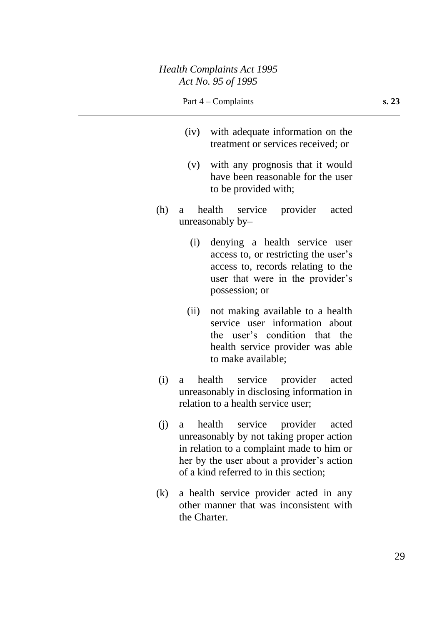- (iv) with adequate information on the treatment or services received; or
- (v) with any prognosis that it would have been reasonable for the user to be provided with;
- (h) a health service provider acted unreasonably by–
	- (i) denying a health service user access to, or restricting the user's access to, records relating to the user that were in the provider's possession; or
	- (ii) not making available to a health service user information about the user's condition that the health service provider was able to make available;
- (i) a health service provider acted unreasonably in disclosing information in relation to a health service user;
- (j) a health service provider acted unreasonably by not taking proper action in relation to a complaint made to him or her by the user about a provider's action of a kind referred to in this section;
- (k) a health service provider acted in any other manner that was inconsistent with the Charter.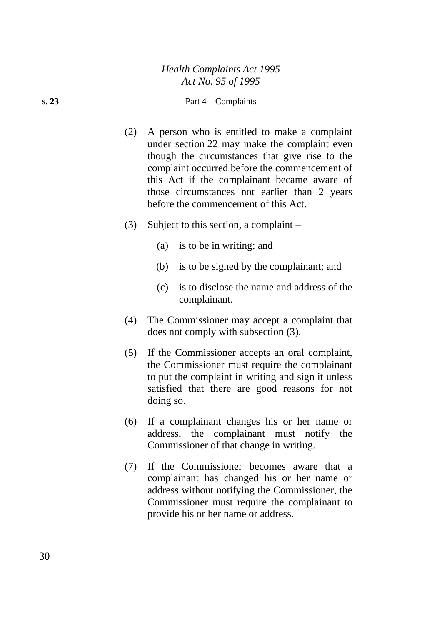- (2) A person who is entitled to make a complaint under section 22 may make the complaint even though the circumstances that give rise to the complaint occurred before the commencement of this Act if the complainant became aware of those circumstances not earlier than 2 years before the commencement of this Act.
- (3) Subject to this section, a complaint
	- (a) is to be in writing; and
	- (b) is to be signed by the complainant; and
	- (c) is to disclose the name and address of the complainant.
- (4) The Commissioner may accept a complaint that does not comply with subsection (3).
- (5) If the Commissioner accepts an oral complaint, the Commissioner must require the complainant to put the complaint in writing and sign it unless satisfied that there are good reasons for not doing so.
- (6) If a complainant changes his or her name or address, the complainant must notify the Commissioner of that change in writing.
- (7) If the Commissioner becomes aware that a complainant has changed his or her name or address without notifying the Commissioner, the Commissioner must require the complainant to provide his or her name or address.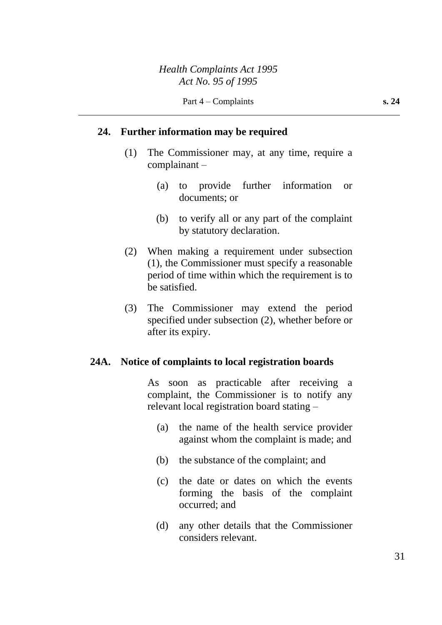#### **24. Further information may be required**

- (1) The Commissioner may, at any time, require a complainant –
	- (a) to provide further information or documents; or
	- (b) to verify all or any part of the complaint by statutory declaration.
- (2) When making a requirement under subsection (1), the Commissioner must specify a reasonable period of time within which the requirement is to be satisfied.
- (3) The Commissioner may extend the period specified under subsection (2), whether before or after its expiry.

#### **24A. Notice of complaints to local registration boards**

As soon as practicable after receiving a complaint, the Commissioner is to notify any relevant local registration board stating –

- (a) the name of the health service provider against whom the complaint is made; and
- (b) the substance of the complaint; and
- (c) the date or dates on which the events forming the basis of the complaint occurred; and
- (d) any other details that the Commissioner considers relevant.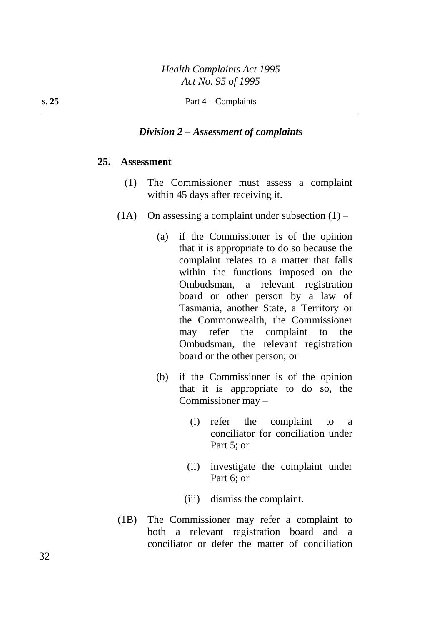#### *Division 2 – Assessment of complaints*

#### **25. Assessment**

- (1) The Commissioner must assess a complaint within 45 days after receiving it.
- (1A) On assessing a complaint under subsection  $(1)$ 
	- (a) if the Commissioner is of the opinion that it is appropriate to do so because the complaint relates to a matter that falls within the functions imposed on the Ombudsman, a relevant registration board or other person by a law of Tasmania, another State, a Territory or the Commonwealth, the Commissioner may refer the complaint to the Ombudsman, the relevant registration board or the other person; or
	- (b) if the Commissioner is of the opinion that it is appropriate to do so, the Commissioner may –
		- (i) refer the complaint to a conciliator for conciliation under Part 5; or
		- (ii) investigate the complaint under Part 6; or
		- (iii) dismiss the complaint.
- (1B) The Commissioner may refer a complaint to both a relevant registration board and a conciliator or defer the matter of conciliation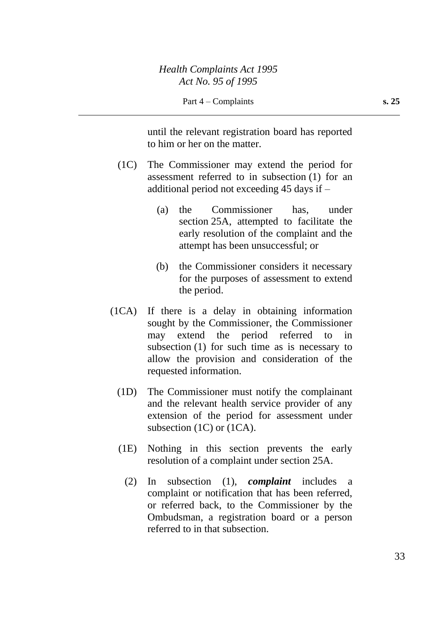until the relevant registration board has reported to him or her on the matter.

- (1C) The Commissioner may extend the period for assessment referred to in subsection (1) for an additional period not exceeding 45 days if –
	- (a) the Commissioner has, under section 25A, attempted to facilitate the early resolution of the complaint and the attempt has been unsuccessful; or
	- (b) the Commissioner considers it necessary for the purposes of assessment to extend the period.
- (1CA) If there is a delay in obtaining information sought by the Commissioner, the Commissioner may extend the period referred to in subsection (1) for such time as is necessary to allow the provision and consideration of the requested information.
	- (1D) The Commissioner must notify the complainant and the relevant health service provider of any extension of the period for assessment under subsection (1C) or (1CA).
	- (1E) Nothing in this section prevents the early resolution of a complaint under section 25A.
		- (2) In subsection (1), *complaint* includes a complaint or notification that has been referred, or referred back, to the Commissioner by the Ombudsman, a registration board or a person referred to in that subsection.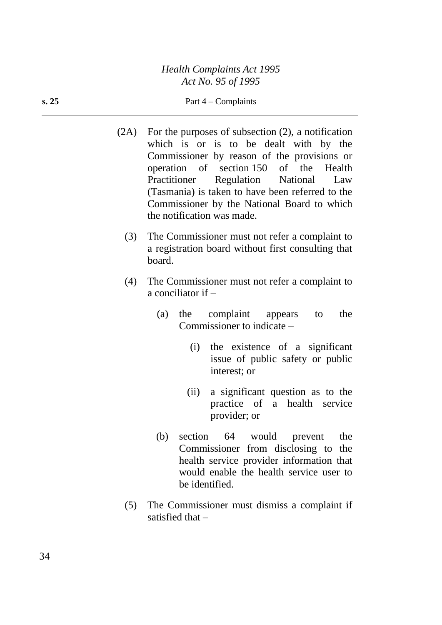**s. 25** Part  $4 -$  Complaints

- (2A) For the purposes of subsection (2), a notification which is or is to be dealt with by the Commissioner by reason of the provisions or operation of section 150 of the Health Practitioner Regulation National Law (Tasmania) is taken to have been referred to the Commissioner by the National Board to which the notification was made.
	- (3) The Commissioner must not refer a complaint to a registration board without first consulting that board.
	- (4) The Commissioner must not refer a complaint to a conciliator if –
		- (a) the complaint appears to the Commissioner to indicate –
			- (i) the existence of a significant issue of public safety or public interest; or
			- (ii) a significant question as to the practice of a health service provider; or
		- (b) section 64 would prevent the Commissioner from disclosing to the health service provider information that would enable the health service user to be identified.
	- (5) The Commissioner must dismiss a complaint if satisfied that –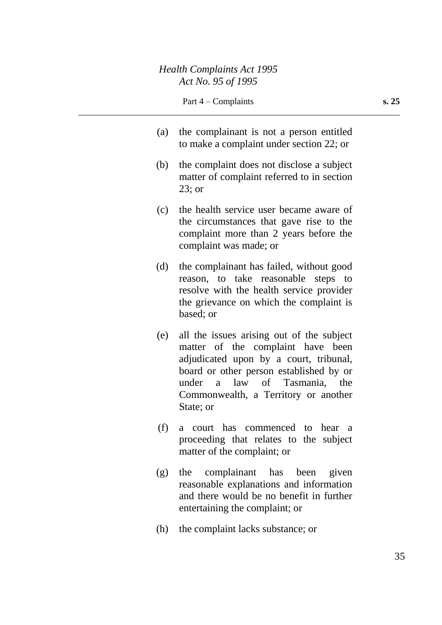- (a) the complainant is not a person entitled to make a complaint under section 22; or
- (b) the complaint does not disclose a subject matter of complaint referred to in section 23; or
- (c) the health service user became aware of the circumstances that gave rise to the complaint more than 2 years before the complaint was made; or
- (d) the complainant has failed, without good reason, to take reasonable steps to resolve with the health service provider the grievance on which the complaint is based; or
- (e) all the issues arising out of the subject matter of the complaint have been adjudicated upon by a court, tribunal, board or other person established by or under a law of Tasmania, the Commonwealth, a Territory or another State; or
- (f) a court has commenced to hear a proceeding that relates to the subject matter of the complaint; or
- (g) the complainant has been given reasonable explanations and information and there would be no benefit in further entertaining the complaint; or
- (h) the complaint lacks substance; or

35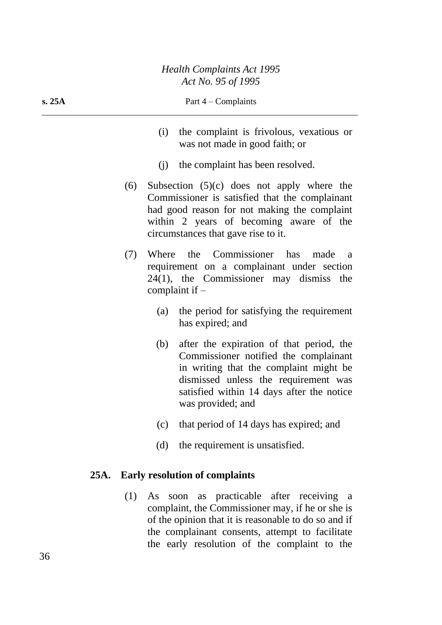**s. 25A** Part 4 – Complaints

- (i) the complaint is frivolous, vexatious or was not made in good faith; or
- (j) the complaint has been resolved.
- (6) Subsection (5)(c) does not apply where the Commissioner is satisfied that the complainant had good reason for not making the complaint within 2 years of becoming aware of the circumstances that gave rise to it.
- (7) Where the Commissioner has made a requirement on a complainant under section 24(1), the Commissioner may dismiss the complaint if –
	- (a) the period for satisfying the requirement has expired; and
	- (b) after the expiration of that period, the Commissioner notified the complainant in writing that the complaint might be dismissed unless the requirement was satisfied within 14 days after the notice was provided; and
	- (c) that period of 14 days has expired; and
	- (d) the requirement is unsatisfied.

## **25A. Early resolution of complaints**

(1) As soon as practicable after receiving a complaint, the Commissioner may, if he or she is of the opinion that it is reasonable to do so and if the complainant consents, attempt to facilitate the early resolution of the complaint to the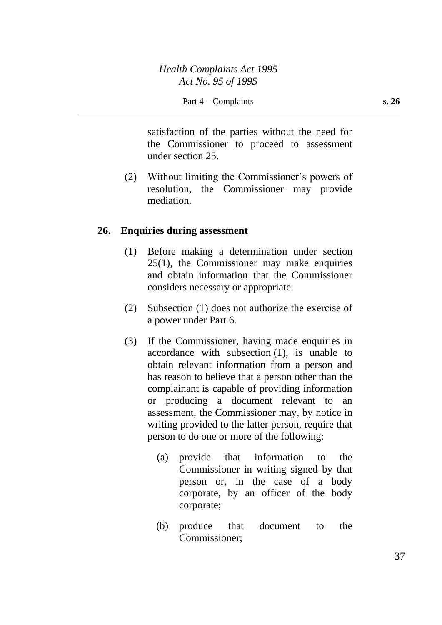satisfaction of the parties without the need for the Commissioner to proceed to assessment under section 25.

(2) Without limiting the Commissioner's powers of resolution, the Commissioner may provide mediation.

### **26. Enquiries during assessment**

- (1) Before making a determination under section 25(1), the Commissioner may make enquiries and obtain information that the Commissioner considers necessary or appropriate.
- (2) Subsection (1) does not authorize the exercise of a power under Part 6.
- (3) If the Commissioner, having made enquiries in accordance with subsection (1), is unable to obtain relevant information from a person and has reason to believe that a person other than the complainant is capable of providing information or producing a document relevant to an assessment, the Commissioner may, by notice in writing provided to the latter person, require that person to do one or more of the following:
	- (a) provide that information to the Commissioner in writing signed by that person or, in the case of a body corporate, by an officer of the body corporate;
	- (b) produce that document to the Commissioner;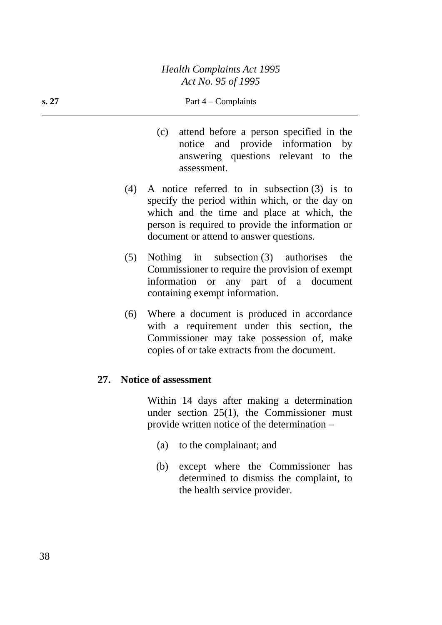#### **s.** 27 **Part** 4 – Complaints

- (c) attend before a person specified in the notice and provide information by answering questions relevant to the assessment.
- (4) A notice referred to in subsection (3) is to specify the period within which, or the day on which and the time and place at which, the person is required to provide the information or document or attend to answer questions.
- (5) Nothing in subsection (3) authorises the Commissioner to require the provision of exempt information or any part of a document containing exempt information.
- (6) Where a document is produced in accordance with a requirement under this section, the Commissioner may take possession of, make copies of or take extracts from the document.

### **27. Notice of assessment**

Within 14 days after making a determination under section 25(1), the Commissioner must provide written notice of the determination –

- (a) to the complainant; and
- (b) except where the Commissioner has determined to dismiss the complaint, to the health service provider.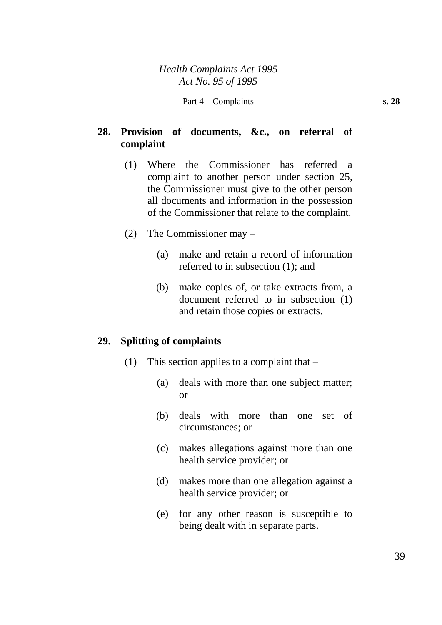# **28. Provision of documents, &c., on referral of complaint**

- (1) Where the Commissioner has referred a complaint to another person under section 25, the Commissioner must give to the other person all documents and information in the possession of the Commissioner that relate to the complaint.
- (2) The Commissioner may
	- (a) make and retain a record of information referred to in subsection (1); and
	- (b) make copies of, or take extracts from, a document referred to in subsection (1) and retain those copies or extracts.

### **29. Splitting of complaints**

- (1) This section applies to a complaint that
	- (a) deals with more than one subject matter; or
	- (b) deals with more than one set of circumstances; or
	- (c) makes allegations against more than one health service provider; or
	- (d) makes more than one allegation against a health service provider; or
	- (e) for any other reason is susceptible to being dealt with in separate parts.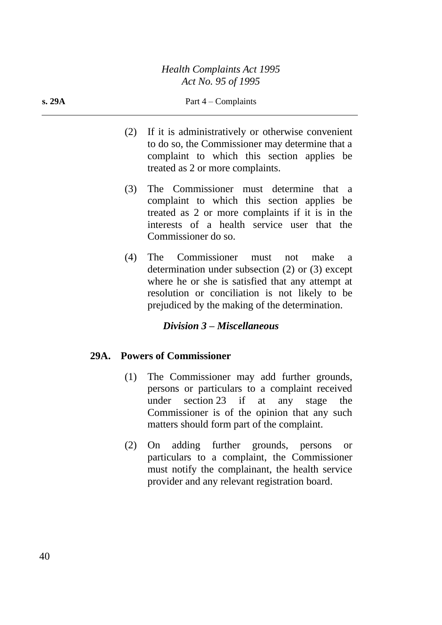- (2) If it is administratively or otherwise convenient to do so, the Commissioner may determine that a complaint to which this section applies be treated as 2 or more complaints.
- (3) The Commissioner must determine that a complaint to which this section applies be treated as 2 or more complaints if it is in the interests of a health service user that the Commissioner do so.
- (4) The Commissioner must not make a determination under subsection (2) or (3) except where he or she is satisfied that any attempt at resolution or conciliation is not likely to be prejudiced by the making of the determination.

## *Division 3 – Miscellaneous*

## **29A. Powers of Commissioner**

- (1) The Commissioner may add further grounds, persons or particulars to a complaint received under section 23 if at any stage the Commissioner is of the opinion that any such matters should form part of the complaint.
- (2) On adding further grounds, persons or particulars to a complaint, the Commissioner must notify the complainant, the health service provider and any relevant registration board.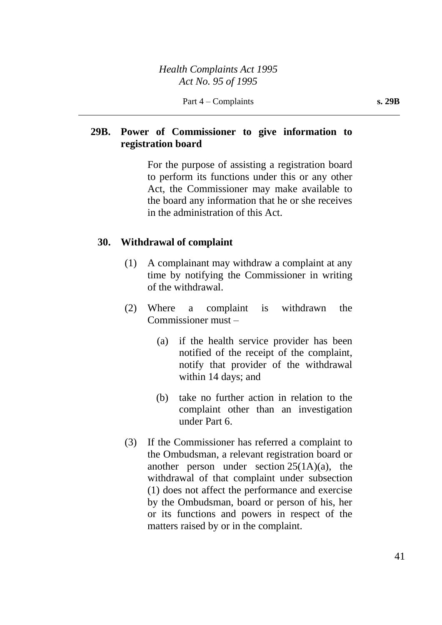# **29B. Power of Commissioner to give information to registration board**

For the purpose of assisting a registration board to perform its functions under this or any other Act, the Commissioner may make available to the board any information that he or she receives in the administration of this Act.

## **30. Withdrawal of complaint**

- (1) A complainant may withdraw a complaint at any time by notifying the Commissioner in writing of the withdrawal.
- (2) Where a complaint is withdrawn the Commissioner must –
	- (a) if the health service provider has been notified of the receipt of the complaint, notify that provider of the withdrawal within 14 days; and
	- (b) take no further action in relation to the complaint other than an investigation under Part 6.
- (3) If the Commissioner has referred a complaint to the Ombudsman, a relevant registration board or another person under section  $25(1A)(a)$ , the withdrawal of that complaint under subsection (1) does not affect the performance and exercise by the Ombudsman, board or person of his, her or its functions and powers in respect of the matters raised by or in the complaint.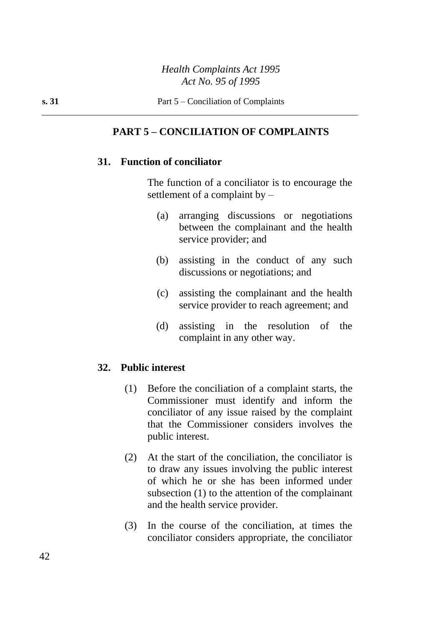# **PART 5 – CONCILIATION OF COMPLAINTS**

## **31. Function of conciliator**

The function of a conciliator is to encourage the settlement of a complaint by –

- (a) arranging discussions or negotiations between the complainant and the health service provider; and
- (b) assisting in the conduct of any such discussions or negotiations; and
- (c) assisting the complainant and the health service provider to reach agreement; and
- (d) assisting in the resolution of the complaint in any other way.

## **32. Public interest**

- (1) Before the conciliation of a complaint starts, the Commissioner must identify and inform the conciliator of any issue raised by the complaint that the Commissioner considers involves the public interest.
- (2) At the start of the conciliation, the conciliator is to draw any issues involving the public interest of which he or she has been informed under subsection (1) to the attention of the complainant and the health service provider.
- (3) In the course of the conciliation, at times the conciliator considers appropriate, the conciliator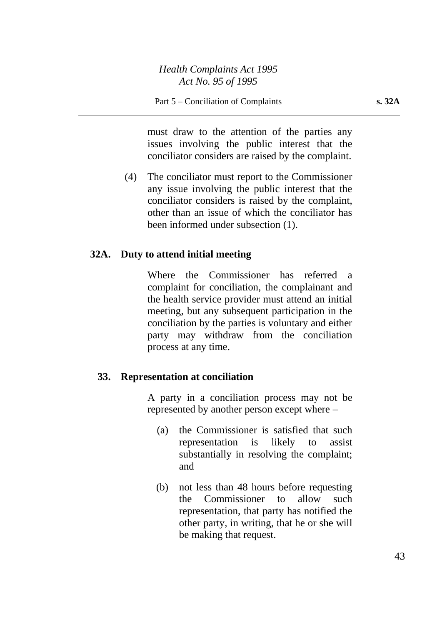must draw to the attention of the parties any issues involving the public interest that the conciliator considers are raised by the complaint.

(4) The conciliator must report to the Commissioner any issue involving the public interest that the conciliator considers is raised by the complaint, other than an issue of which the conciliator has been informed under subsection (1).

## **32A. Duty to attend initial meeting**

Where the Commissioner has referred a complaint for conciliation, the complainant and the health service provider must attend an initial meeting, but any subsequent participation in the conciliation by the parties is voluntary and either party may withdraw from the conciliation process at any time.

### **33. Representation at conciliation**

A party in a conciliation process may not be represented by another person except where –

- (a) the Commissioner is satisfied that such representation is likely to assist substantially in resolving the complaint; and
- (b) not less than 48 hours before requesting the Commissioner to allow such representation, that party has notified the other party, in writing, that he or she will be making that request.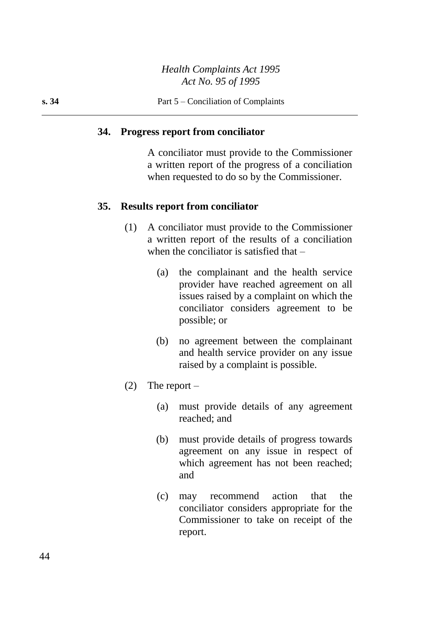## *Health Complaints Act 1995 Act No. 95 of 1995*

#### **34. Progress report from conciliator**

A conciliator must provide to the Commissioner a written report of the progress of a conciliation when requested to do so by the Commissioner.

#### **35. Results report from conciliator**

- (1) A conciliator must provide to the Commissioner a written report of the results of a conciliation when the conciliator is satisfied that –
	- (a) the complainant and the health service provider have reached agreement on all issues raised by a complaint on which the conciliator considers agreement to be possible; or
	- (b) no agreement between the complainant and health service provider on any issue raised by a complaint is possible.
- (2) The report  $-$ 
	- (a) must provide details of any agreement reached; and
	- (b) must provide details of progress towards agreement on any issue in respect of which agreement has not been reached; and
	- (c) may recommend action that the conciliator considers appropriate for the Commissioner to take on receipt of the report.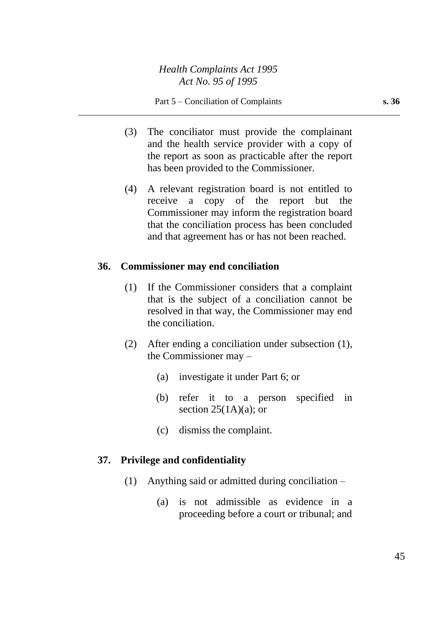- (3) The conciliator must provide the complainant and the health service provider with a copy of the report as soon as practicable after the report has been provided to the Commissioner.
- (4) A relevant registration board is not entitled to receive a copy of the report but the Commissioner may inform the registration board that the conciliation process has been concluded and that agreement has or has not been reached.

## **36. Commissioner may end conciliation**

- (1) If the Commissioner considers that a complaint that is the subject of a conciliation cannot be resolved in that way, the Commissioner may end the conciliation.
- (2) After ending a conciliation under subsection (1), the Commissioner may –
	- (a) investigate it under Part 6; or
	- (b) refer it to a person specified in section  $25(1A)(a)$ ; or
	- (c) dismiss the complaint.

## **37. Privilege and confidentiality**

- (1) Anything said or admitted during conciliation
	- (a) is not admissible as evidence in a proceeding before a court or tribunal; and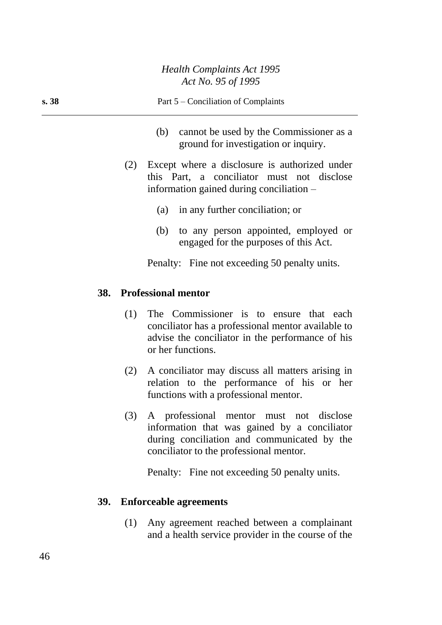| s.38 | Part 5 – Conciliation of Complaints                                                                                                                                           |  |  |
|------|-------------------------------------------------------------------------------------------------------------------------------------------------------------------------------|--|--|
|      | cannot be used by the Commissioner as a<br>(b)<br>ground for investigation or inquiry.                                                                                        |  |  |
|      | Except where a disclosure is authorized under<br>(2)<br>this Part, a conciliator must not disclose<br>information gained during conciliation –                                |  |  |
|      | in any further conciliation; or<br>(a)                                                                                                                                        |  |  |
|      | (b) to any person appointed, employed or<br>engaged for the purposes of this Act.                                                                                             |  |  |
|      | Penalty: Fine not exceeding 50 penalty units.                                                                                                                                 |  |  |
|      | <b>Professional mentor</b><br><b>38.</b>                                                                                                                                      |  |  |
|      | The Commissioner is to ensure that each<br>(1)<br>conciliator has a professional mentor available to<br>advise the conciliator in the performance of his<br>or her functions. |  |  |

- (2) A conciliator may discuss all matters arising in relation to the performance of his or her functions with a professional mentor.
- (3) A professional mentor must not disclose information that was gained by a conciliator during conciliation and communicated by the conciliator to the professional mentor.

Penalty: Fine not exceeding 50 penalty units.

# **39. Enforceable agreements**

(1) Any agreement reached between a complainant and a health service provider in the course of the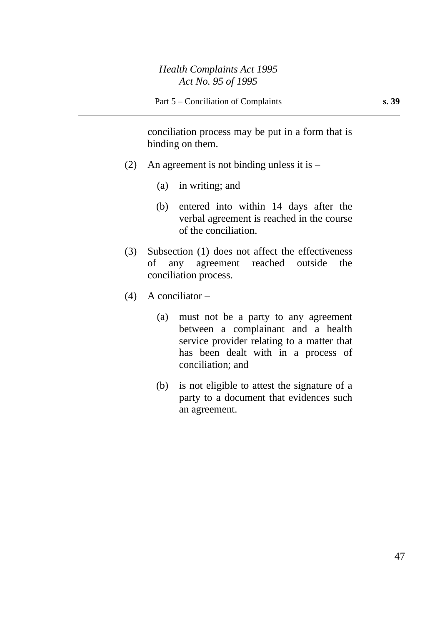conciliation process may be put in a form that is binding on them.

- (2) An agreement is not binding unless it is
	- (a) in writing; and
	- (b) entered into within 14 days after the verbal agreement is reached in the course of the conciliation.
- (3) Subsection (1) does not affect the effectiveness of any agreement reached outside the conciliation process.
- (4) A conciliator  $-$ 
	- (a) must not be a party to any agreement between a complainant and a health service provider relating to a matter that has been dealt with in a process of conciliation; and
	- (b) is not eligible to attest the signature of a party to a document that evidences such an agreement.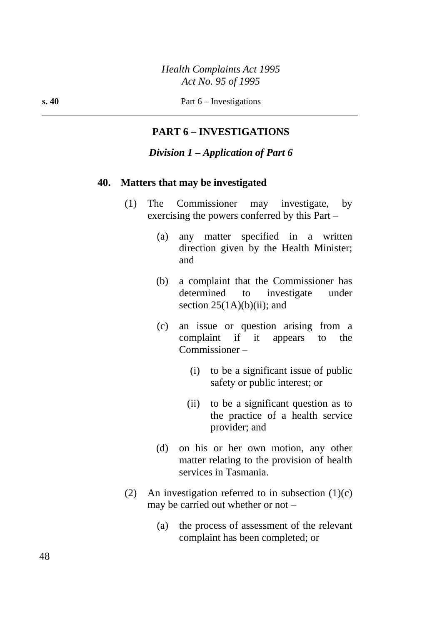## **PART 6 – INVESTIGATIONS**

### *Division 1 – Application of Part 6*

#### **40. Matters that may be investigated**

- (1) The Commissioner may investigate, by exercising the powers conferred by this Part –
	- (a) any matter specified in a written direction given by the Health Minister; and
	- (b) a complaint that the Commissioner has determined to investigate under section  $25(1A)(b)(ii)$ ; and
	- (c) an issue or question arising from a complaint if it appears to the Commissioner –
		- (i) to be a significant issue of public safety or public interest; or
		- (ii) to be a significant question as to the practice of a health service provider; and
	- (d) on his or her own motion, any other matter relating to the provision of health services in Tasmania.
- (2) An investigation referred to in subsection  $(1)(c)$ may be carried out whether or not –
	- (a) the process of assessment of the relevant complaint has been completed; or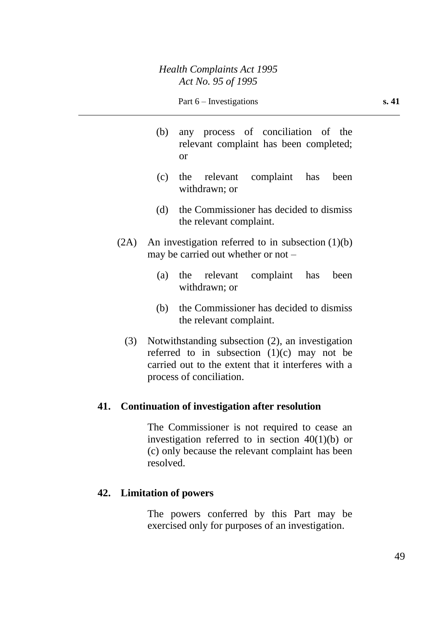- (b) any process of conciliation of the relevant complaint has been completed; or
- (c) the relevant complaint has been withdrawn; or
- (d) the Commissioner has decided to dismiss the relevant complaint.
- $(2A)$  An investigation referred to in subsection  $(1)(b)$ may be carried out whether or not –
	- (a) the relevant complaint has been withdrawn; or
	- (b) the Commissioner has decided to dismiss the relevant complaint.
	- (3) Notwithstanding subsection (2), an investigation referred to in subsection  $(1)(c)$  may not be carried out to the extent that it interferes with a process of conciliation.

## **41. Continuation of investigation after resolution**

The Commissioner is not required to cease an investigation referred to in section 40(1)(b) or (c) only because the relevant complaint has been resolved.

## **42. Limitation of powers**

The powers conferred by this Part may be exercised only for purposes of an investigation.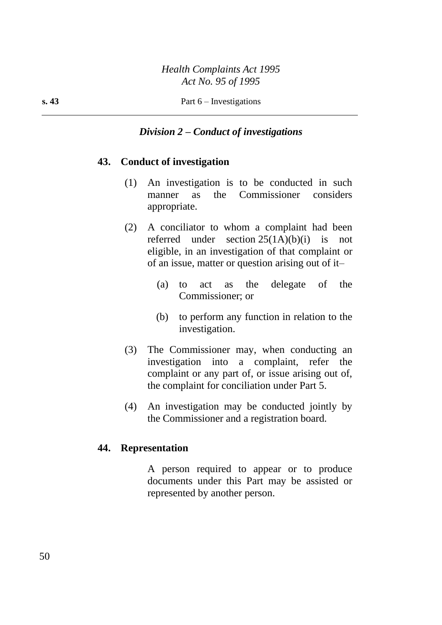### *Division 2 – Conduct of investigations*

### **43. Conduct of investigation**

- (1) An investigation is to be conducted in such manner as the Commissioner considers appropriate.
- (2) A conciliator to whom a complaint had been referred under section  $25(1A)(b)(i)$  is not eligible, in an investigation of that complaint or of an issue, matter or question arising out of it–
	- (a) to act as the delegate of the Commissioner; or
	- (b) to perform any function in relation to the investigation.
- (3) The Commissioner may, when conducting an investigation into a complaint, refer the complaint or any part of, or issue arising out of, the complaint for conciliation under Part 5.
- (4) An investigation may be conducted jointly by the Commissioner and a registration board.

# **44. Representation**

A person required to appear or to produce documents under this Part may be assisted or represented by another person.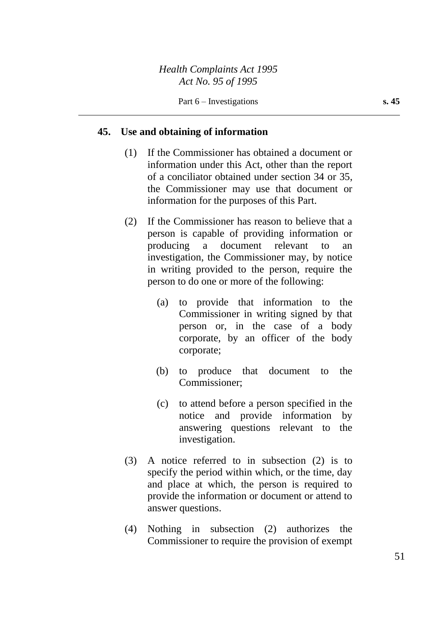#### **45. Use and obtaining of information**

- (1) If the Commissioner has obtained a document or information under this Act, other than the report of a conciliator obtained under section 34 or 35, the Commissioner may use that document or information for the purposes of this Part.
- (2) If the Commissioner has reason to believe that a person is capable of providing information or producing a document relevant to an investigation, the Commissioner may, by notice in writing provided to the person, require the person to do one or more of the following:
	- (a) to provide that information to the Commissioner in writing signed by that person or, in the case of a body corporate, by an officer of the body corporate;
	- (b) to produce that document to the Commissioner;
	- (c) to attend before a person specified in the notice and provide information by answering questions relevant to the investigation.
- (3) A notice referred to in subsection (2) is to specify the period within which, or the time, day and place at which, the person is required to provide the information or document or attend to answer questions.
- (4) Nothing in subsection (2) authorizes the Commissioner to require the provision of exempt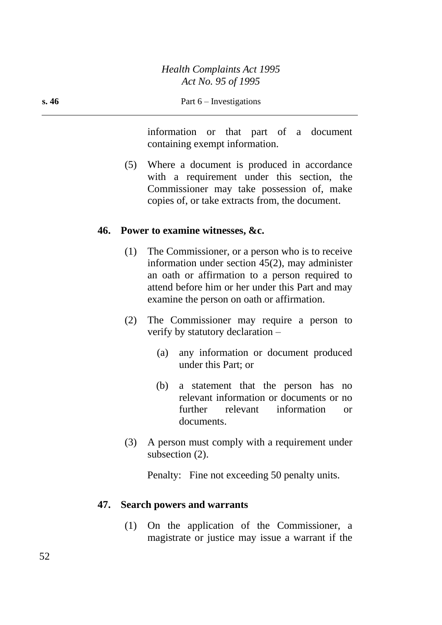information or that part of a document containing exempt information.

(5) Where a document is produced in accordance with a requirement under this section, the Commissioner may take possession of, make copies of, or take extracts from, the document.

## **46. Power to examine witnesses, &c.**

- (1) The Commissioner, or a person who is to receive information under section 45(2), may administer an oath or affirmation to a person required to attend before him or her under this Part and may examine the person on oath or affirmation.
- (2) The Commissioner may require a person to verify by statutory declaration –
	- (a) any information or document produced under this Part; or
	- (b) a statement that the person has no relevant information or documents or no further relevant information or documents.
- (3) A person must comply with a requirement under subsection  $(2)$ .

Penalty: Fine not exceeding 50 penalty units.

## **47. Search powers and warrants**

(1) On the application of the Commissioner, a magistrate or justice may issue a warrant if the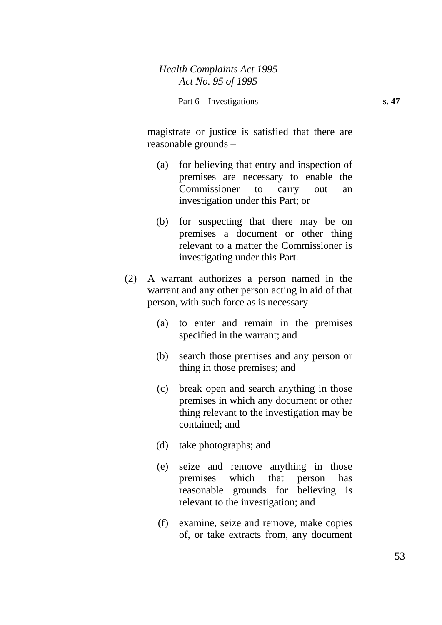magistrate or justice is satisfied that there are reasonable grounds –

- (a) for believing that entry and inspection of premises are necessary to enable the Commissioner to carry out an investigation under this Part; or
- (b) for suspecting that there may be on premises a document or other thing relevant to a matter the Commissioner is investigating under this Part.
- (2) A warrant authorizes a person named in the warrant and any other person acting in aid of that person, with such force as is necessary –
	- (a) to enter and remain in the premises specified in the warrant; and
	- (b) search those premises and any person or thing in those premises; and
	- (c) break open and search anything in those premises in which any document or other thing relevant to the investigation may be contained; and
	- (d) take photographs; and
	- (e) seize and remove anything in those premises which that person has reasonable grounds for believing is relevant to the investigation; and
	- (f) examine, seize and remove, make copies of, or take extracts from, any document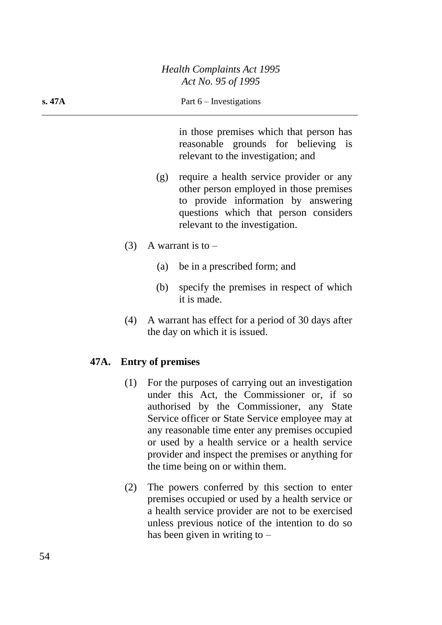in those premises which that person has reasonable grounds for believing is relevant to the investigation; and

- (g) require a health service provider or any other person employed in those premises to provide information by answering questions which that person considers relevant to the investigation.
- (3) A warrant is to  $-$ 
	- (a) be in a prescribed form; and
	- (b) specify the premises in respect of which it is made.
- (4) A warrant has effect for a period of 30 days after the day on which it is issued.

# **47A. Entry of premises**

- (1) For the purposes of carrying out an investigation under this Act, the Commissioner or, if so authorised by the Commissioner, any State Service officer or State Service employee may at any reasonable time enter any premises occupied or used by a health service or a health service provider and inspect the premises or anything for the time being on or within them.
- (2) The powers conferred by this section to enter premises occupied or used by a health service or a health service provider are not to be exercised unless previous notice of the intention to do so has been given in writing to –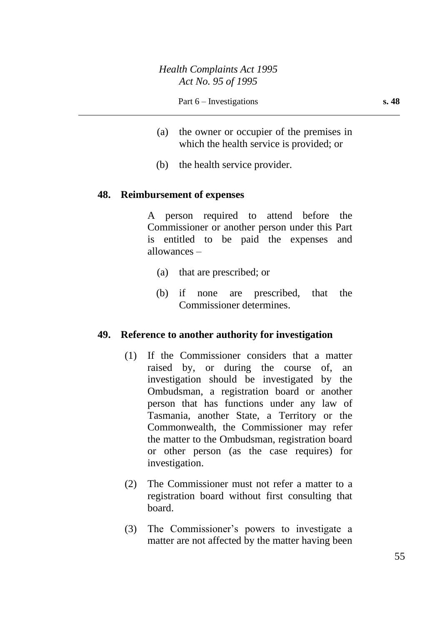- (a) the owner or occupier of the premises in which the health service is provided; or
- (b) the health service provider.

#### **48. Reimbursement of expenses**

A person required to attend before the Commissioner or another person under this Part is entitled to be paid the expenses and allowances –

- (a) that are prescribed; or
- (b) if none are prescribed, that the Commissioner determines.

#### **49. Reference to another authority for investigation**

- (1) If the Commissioner considers that a matter raised by, or during the course of, an investigation should be investigated by the Ombudsman, a registration board or another person that has functions under any law of Tasmania, another State, a Territory or the Commonwealth, the Commissioner may refer the matter to the Ombudsman, registration board or other person (as the case requires) for investigation.
- (2) The Commissioner must not refer a matter to a registration board without first consulting that board.
- (3) The Commissioner's powers to investigate a matter are not affected by the matter having been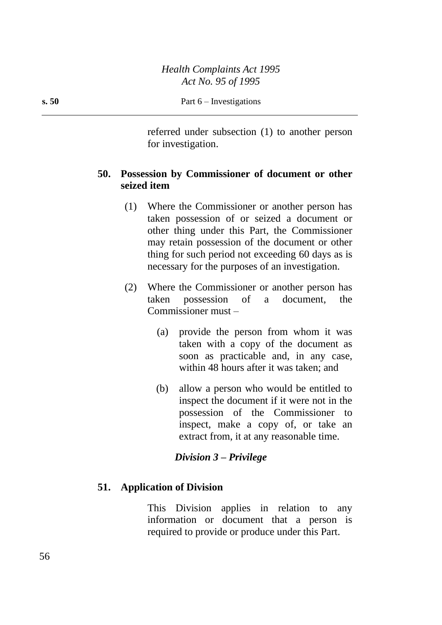referred under subsection (1) to another person for investigation.

# **50. Possession by Commissioner of document or other seized item**

- (1) Where the Commissioner or another person has taken possession of or seized a document or other thing under this Part, the Commissioner may retain possession of the document or other thing for such period not exceeding 60 days as is necessary for the purposes of an investigation.
- (2) Where the Commissioner or another person has taken possession of a document, the Commissioner must –
	- (a) provide the person from whom it was taken with a copy of the document as soon as practicable and, in any case, within 48 hours after it was taken; and
	- (b) allow a person who would be entitled to inspect the document if it were not in the possession of the Commissioner to inspect, make a copy of, or take an extract from, it at any reasonable time.

# *Division 3 – Privilege*

# **51. Application of Division**

This Division applies in relation to any information or document that a person is required to provide or produce under this Part.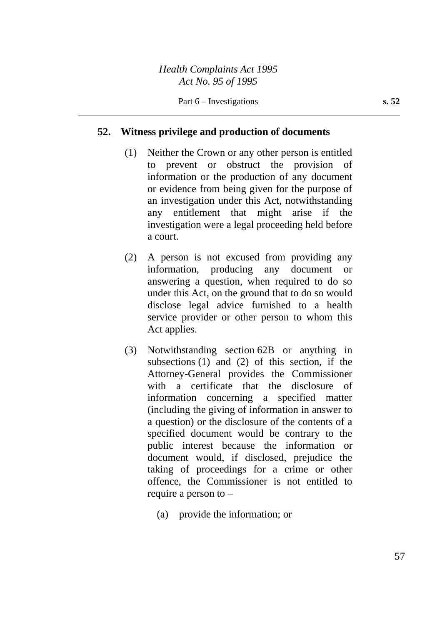## **52. Witness privilege and production of documents**

- (1) Neither the Crown or any other person is entitled to prevent or obstruct the provision of information or the production of any document or evidence from being given for the purpose of an investigation under this Act, notwithstanding any entitlement that might arise if the investigation were a legal proceeding held before a court.
- (2) A person is not excused from providing any information, producing any document or answering a question, when required to do so under this Act, on the ground that to do so would disclose legal advice furnished to a health service provider or other person to whom this Act applies.
- (3) Notwithstanding section 62B or anything in subsections (1) and (2) of this section, if the Attorney-General provides the Commissioner with a certificate that the disclosure of information concerning a specified matter (including the giving of information in answer to a question) or the disclosure of the contents of a specified document would be contrary to the public interest because the information or document would, if disclosed, prejudice the taking of proceedings for a crime or other offence, the Commissioner is not entitled to require a person to –
	- (a) provide the information; or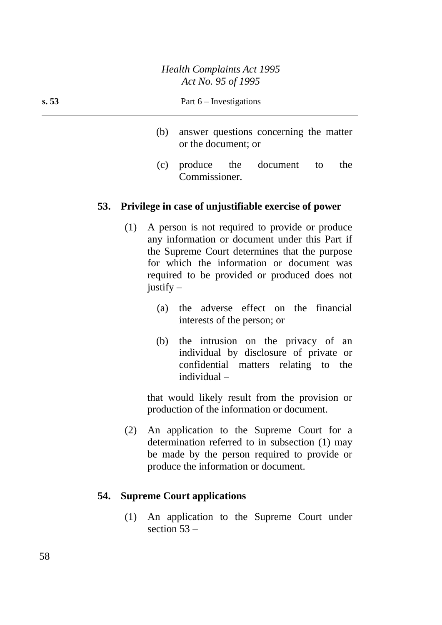- (b) answer questions concerning the matter or the document; or
- (c) produce the document to the Commissioner.

### **53. Privilege in case of unjustifiable exercise of power**

- (1) A person is not required to provide or produce any information or document under this Part if the Supreme Court determines that the purpose for which the information or document was required to be provided or produced does not justify  $-$ 
	- (a) the adverse effect on the financial interests of the person; or
	- (b) the intrusion on the privacy of an individual by disclosure of private or confidential matters relating to the individual –

that would likely result from the provision or production of the information or document.

(2) An application to the Supreme Court for a determination referred to in subsection (1) may be made by the person required to provide or produce the information or document.

## **54. Supreme Court applications**

(1) An application to the Supreme Court under section 53 –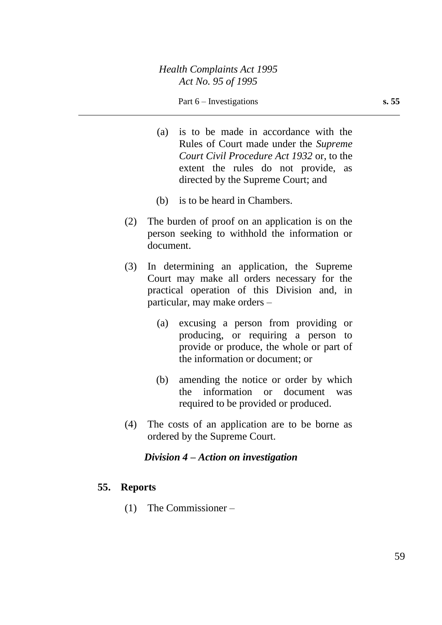#### Part 6 – Investigations **s. 55**

- (a) is to be made in accordance with the Rules of Court made under the *Supreme Court Civil Procedure Act 1932* or, to the extent the rules do not provide, as directed by the Supreme Court; and
- (b) is to be heard in Chambers.
- (2) The burden of proof on an application is on the person seeking to withhold the information or document.
- (3) In determining an application, the Supreme Court may make all orders necessary for the practical operation of this Division and, in particular, may make orders –
	- (a) excusing a person from providing or producing, or requiring a person to provide or produce, the whole or part of the information or document; or
	- (b) amending the notice or order by which the information or document was required to be provided or produced.
- (4) The costs of an application are to be borne as ordered by the Supreme Court.

### *Division 4 – Action on investigation*

## **55. Reports**

(1) The Commissioner –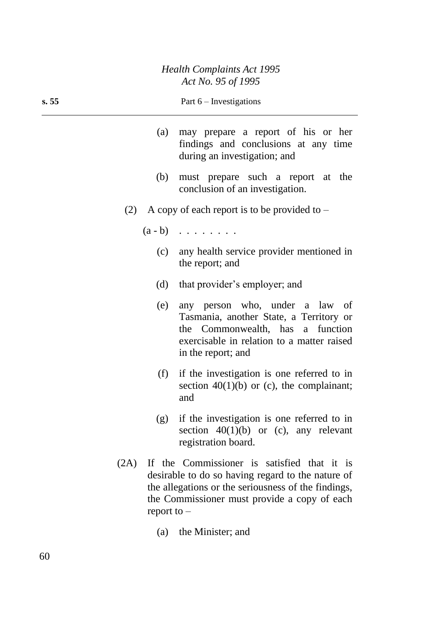## *Health Complaints Act 1995 Act No. 95 of 1995*

| s. 55 | Part $6$ – Investigations                                                                                  |
|-------|------------------------------------------------------------------------------------------------------------|
| (a)   | may prepare a report of his or her<br>findings and conclusions at any time<br>during an investigation; and |
| (b)   | must prepare such a report at the<br>conclusion of an investigation.                                       |
| (2)   | A copy of each report is to be provided to $-$                                                             |
|       | $(a - b)$                                                                                                  |
|       | (c) any health service provider mentioned in<br>the report; and                                            |
| (d)   | that provider's employer; and                                                                              |
| (e)   | any person who under a law of                                                                              |

- (e) any person who, under a law of Tasmania, another State, a Territory or the Commonwealth, has a function exercisable in relation to a matter raised in the report; and
- (f) if the investigation is one referred to in section  $40(1)(b)$  or (c), the complainant; and
- (g) if the investigation is one referred to in section  $40(1)(b)$  or (c), any relevant registration board.
- (2A) If the Commissioner is satisfied that it is desirable to do so having regard to the nature of the allegations or the seriousness of the findings, the Commissioner must provide a copy of each report to –
	- (a) the Minister; and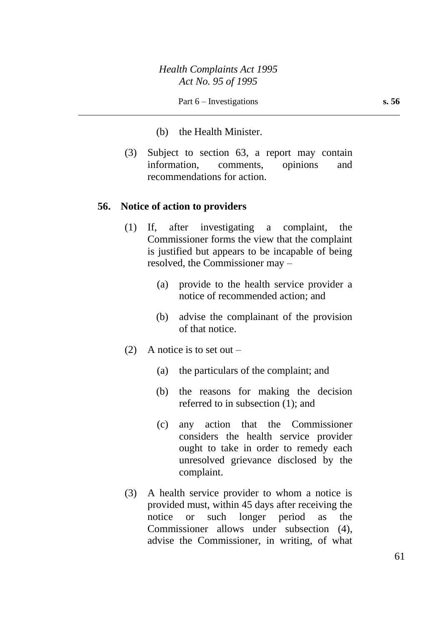- (b) the Health Minister.
- (3) Subject to section 63, a report may contain information, comments, opinions and recommendations for action.

#### **56. Notice of action to providers**

- (1) If, after investigating a complaint, the Commissioner forms the view that the complaint is justified but appears to be incapable of being resolved, the Commissioner may –
	- (a) provide to the health service provider a notice of recommended action; and
	- (b) advise the complainant of the provision of that notice.
- (2) A notice is to set out  $-$ 
	- (a) the particulars of the complaint; and
	- (b) the reasons for making the decision referred to in subsection (1); and
	- (c) any action that the Commissioner considers the health service provider ought to take in order to remedy each unresolved grievance disclosed by the complaint.
- (3) A health service provider to whom a notice is provided must, within 45 days after receiving the notice or such longer period as the Commissioner allows under subsection (4), advise the Commissioner, in writing, of what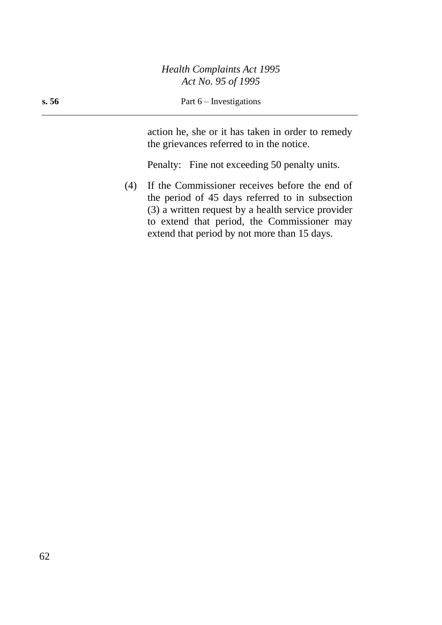## *Health Complaints Act 1995 Act No. 95 of 1995*

#### **s. 56** Part 6 – Investigations

action he, she or it has taken in order to remedy the grievances referred to in the notice.

Penalty: Fine not exceeding 50 penalty units.

(4) If the Commissioner receives before the end of the period of 45 days referred to in subsection (3) a written request by a health service provider to extend that period, the Commissioner may extend that period by not more than 15 days.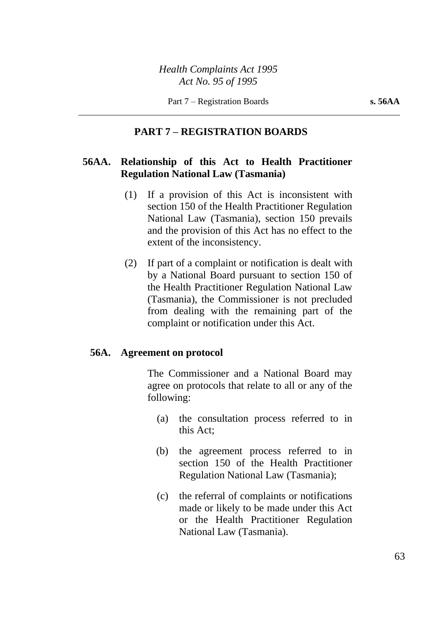# **PART 7 – REGISTRATION BOARDS**

## **56AA. Relationship of this Act to Health Practitioner Regulation National Law (Tasmania)**

- (1) If a provision of this Act is inconsistent with section 150 of the Health Practitioner Regulation National Law (Tasmania), section 150 prevails and the provision of this Act has no effect to the extent of the inconsistency.
- (2) If part of a complaint or notification is dealt with by a National Board pursuant to section 150 of the Health Practitioner Regulation National Law (Tasmania), the Commissioner is not precluded from dealing with the remaining part of the complaint or notification under this Act.

## **56A. Agreement on protocol**

The Commissioner and a National Board may agree on protocols that relate to all or any of the following:

- (a) the consultation process referred to in this Act;
- (b) the agreement process referred to in section 150 of the Health Practitioner Regulation National Law (Tasmania);
- (c) the referral of complaints or notifications made or likely to be made under this Act or the Health Practitioner Regulation National Law (Tasmania).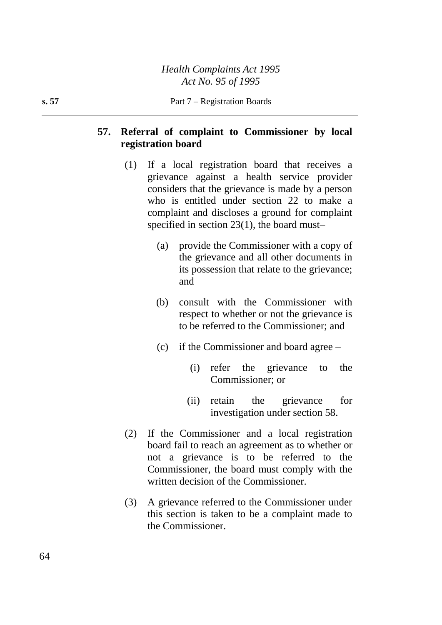# **57. Referral of complaint to Commissioner by local registration board**

- (1) If a local registration board that receives a grievance against a health service provider considers that the grievance is made by a person who is entitled under section 22 to make a complaint and discloses a ground for complaint specified in section 23(1), the board must–
	- (a) provide the Commissioner with a copy of the grievance and all other documents in its possession that relate to the grievance; and
	- (b) consult with the Commissioner with respect to whether or not the grievance is to be referred to the Commissioner; and
	- (c) if the Commissioner and board agree
		- (i) refer the grievance to the Commissioner; or
		- (ii) retain the grievance for investigation under section 58.
- (2) If the Commissioner and a local registration board fail to reach an agreement as to whether or not a grievance is to be referred to the Commissioner, the board must comply with the written decision of the Commissioner.
- (3) A grievance referred to the Commissioner under this section is taken to be a complaint made to the Commissioner.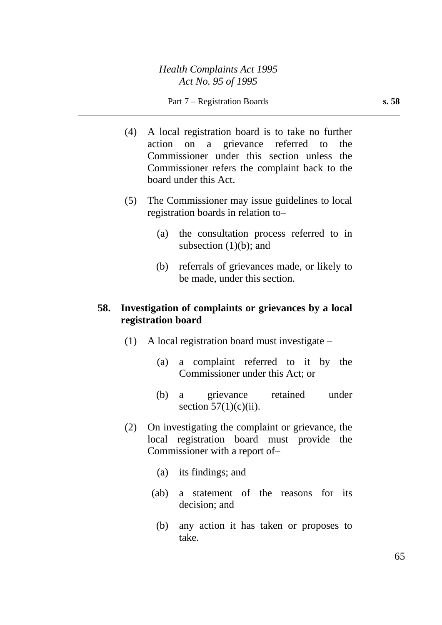- (4) A local registration board is to take no further action on a grievance referred to the Commissioner under this section unless the Commissioner refers the complaint back to the board under this Act.
- (5) The Commissioner may issue guidelines to local registration boards in relation to–
	- (a) the consultation process referred to in subsection  $(1)(b)$ ; and
	- (b) referrals of grievances made, or likely to be made, under this section.

## **58. Investigation of complaints or grievances by a local registration board**

- (1) A local registration board must investigate
	- (a) a complaint referred to it by the Commissioner under this Act; or
	- (b) a grievance retained under section  $57(1)(c)(ii)$ .
- (2) On investigating the complaint or grievance, the local registration board must provide the Commissioner with a report of–
	- (a) its findings; and
	- (ab) a statement of the reasons for its decision; and
		- (b) any action it has taken or proposes to take.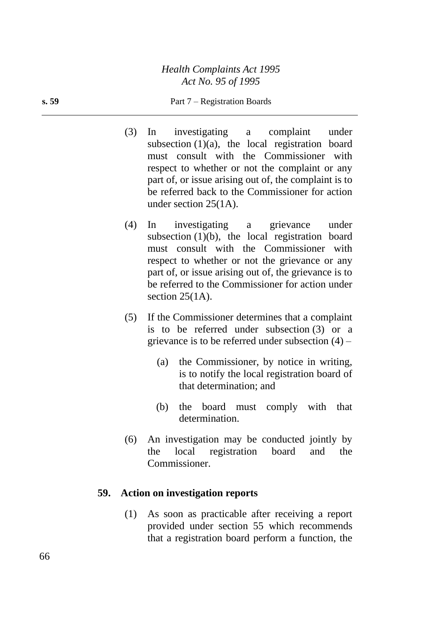*Health Complaints Act 1995 Act No. 95 of 1995*

#### **s. 59** Part 7 – Registration Boards

- (3) In investigating a complaint under subsection  $(1)(a)$ , the local registration board must consult with the Commissioner with respect to whether or not the complaint or any part of, or issue arising out of, the complaint is to be referred back to the Commissioner for action under section 25(1A).
- (4) In investigating a grievance under subsection  $(1)(b)$ , the local registration board must consult with the Commissioner with respect to whether or not the grievance or any part of, or issue arising out of, the grievance is to be referred to the Commissioner for action under section 25(1A).
- (5) If the Commissioner determines that a complaint is to be referred under subsection (3) or a grievance is to be referred under subsection (4) –
	- (a) the Commissioner, by notice in writing, is to notify the local registration board of that determination; and
	- (b) the board must comply with that determination.
- (6) An investigation may be conducted jointly by the local registration board and the Commissioner.

## **59. Action on investigation reports**

(1) As soon as practicable after receiving a report provided under section 55 which recommends that a registration board perform a function, the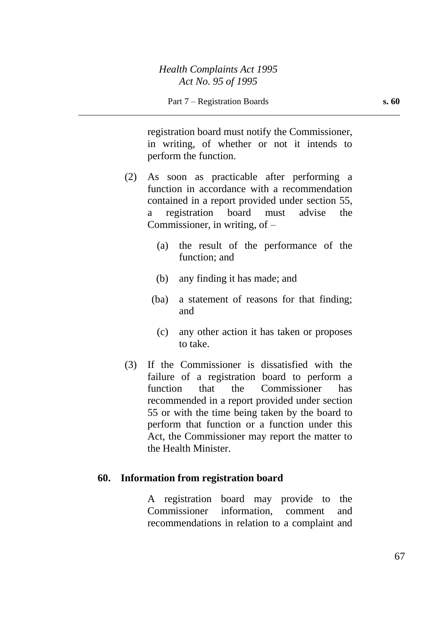registration board must notify the Commissioner, in writing, of whether or not it intends to perform the function.

- (2) As soon as practicable after performing a function in accordance with a recommendation contained in a report provided under section 55, a registration board must advise the Commissioner, in writing, of  $-$ 
	- (a) the result of the performance of the function; and
	- (b) any finding it has made; and
	- (ba) a statement of reasons for that finding; and
		- (c) any other action it has taken or proposes to take.
- (3) If the Commissioner is dissatisfied with the failure of a registration board to perform a function that the Commissioner has recommended in a report provided under section 55 or with the time being taken by the board to perform that function or a function under this Act, the Commissioner may report the matter to the Health Minister.

## **60. Information from registration board**

A registration board may provide to the Commissioner information, comment and recommendations in relation to a complaint and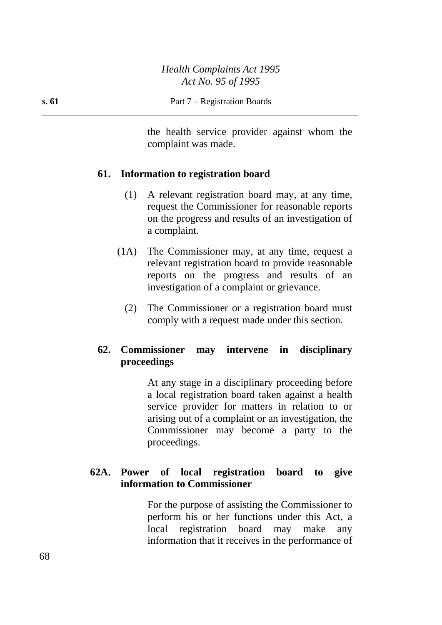the health service provider against whom the complaint was made.

## **61. Information to registration board**

- (1) A relevant registration board may, at any time, request the Commissioner for reasonable reports on the progress and results of an investigation of a complaint.
- (1A) The Commissioner may, at any time, request a relevant registration board to provide reasonable reports on the progress and results of an investigation of a complaint or grievance.
	- (2) The Commissioner or a registration board must comply with a request made under this section.

# **62. Commissioner may intervene in disciplinary proceedings**

At any stage in a disciplinary proceeding before a local registration board taken against a health service provider for matters in relation to or arising out of a complaint or an investigation, the Commissioner may become a party to the proceedings.

# **62A. Power of local registration board to give information to Commissioner**

For the purpose of assisting the Commissioner to perform his or her functions under this Act, a local registration board may make any information that it receives in the performance of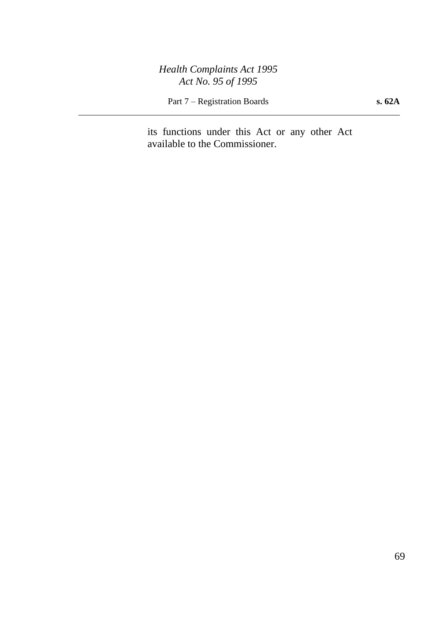*Health Complaints Act 1995 Act No. 95 of 1995*

Part 7 – Registration Boards **s. 62A**

its functions under this Act or any other Act available to the Commissioner.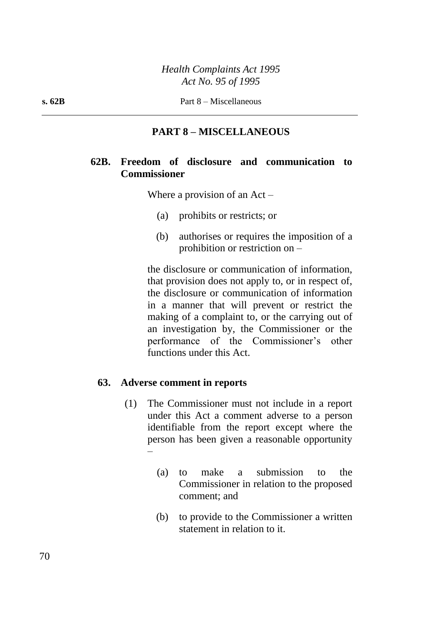# **PART 8 – MISCELLANEOUS**

## **62B. Freedom of disclosure and communication to Commissioner**

Where a provision of an Act –

- (a) prohibits or restricts; or
- (b) authorises or requires the imposition of a prohibition or restriction on –

the disclosure or communication of information, that provision does not apply to, or in respect of, the disclosure or communication of information in a manner that will prevent or restrict the making of a complaint to, or the carrying out of an investigation by, the Commissioner or the performance of the Commissioner's other functions under this Act.

### **63. Adverse comment in reports**

- (1) The Commissioner must not include in a report under this Act a comment adverse to a person identifiable from the report except where the person has been given a reasonable opportunity –
	- (a) to make a submission to the Commissioner in relation to the proposed comment; and
	- (b) to provide to the Commissioner a written statement in relation to it.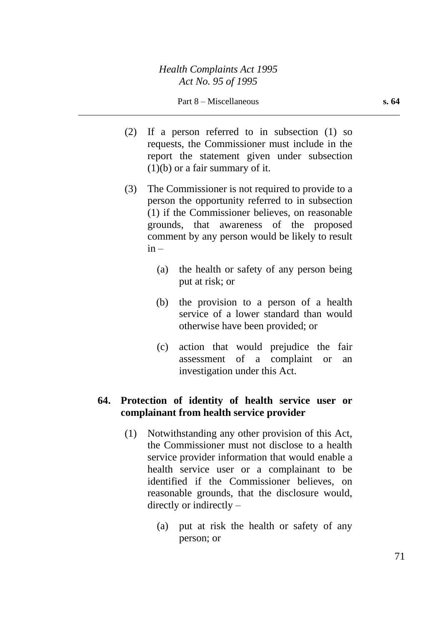- (2) If a person referred to in subsection (1) so requests, the Commissioner must include in the report the statement given under subsection  $(1)(b)$  or a fair summary of it.
- (3) The Commissioner is not required to provide to a person the opportunity referred to in subsection (1) if the Commissioner believes, on reasonable grounds, that awareness of the proposed comment by any person would be likely to result  $in -$ 
	- (a) the health or safety of any person being put at risk; or
	- (b) the provision to a person of a health service of a lower standard than would otherwise have been provided; or
	- (c) action that would prejudice the fair assessment of a complaint or an investigation under this Act.

## **64. Protection of identity of health service user or complainant from health service provider**

- (1) Notwithstanding any other provision of this Act, the Commissioner must not disclose to a health service provider information that would enable a health service user or a complainant to be identified if the Commissioner believes, on reasonable grounds, that the disclosure would, directly or indirectly –
	- (a) put at risk the health or safety of any person; or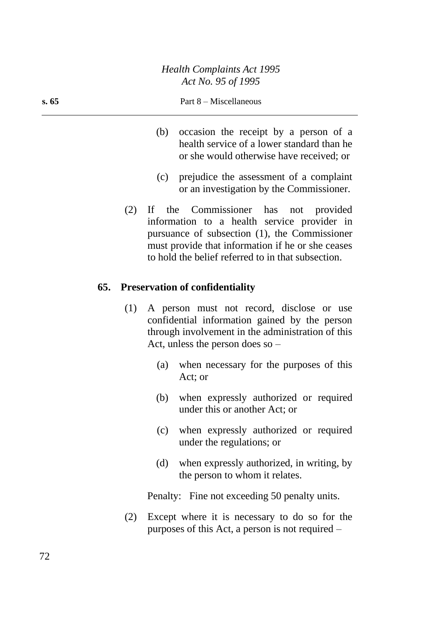#### **s. 65** Part 8 – Miscellaneous

- (b) occasion the receipt by a person of a health service of a lower standard than he or she would otherwise have received; or
- (c) prejudice the assessment of a complaint or an investigation by the Commissioner.
- (2) If the Commissioner has not provided information to a health service provider in pursuance of subsection (1), the Commissioner must provide that information if he or she ceases to hold the belief referred to in that subsection.

#### **65. Preservation of confidentiality**

- (1) A person must not record, disclose or use confidential information gained by the person through involvement in the administration of this Act, unless the person does so –
	- (a) when necessary for the purposes of this Act; or
	- (b) when expressly authorized or required under this or another Act; or
	- (c) when expressly authorized or required under the regulations; or
	- (d) when expressly authorized, in writing, by the person to whom it relates.

Penalty: Fine not exceeding 50 penalty units.

(2) Except where it is necessary to do so for the purposes of this Act, a person is not required –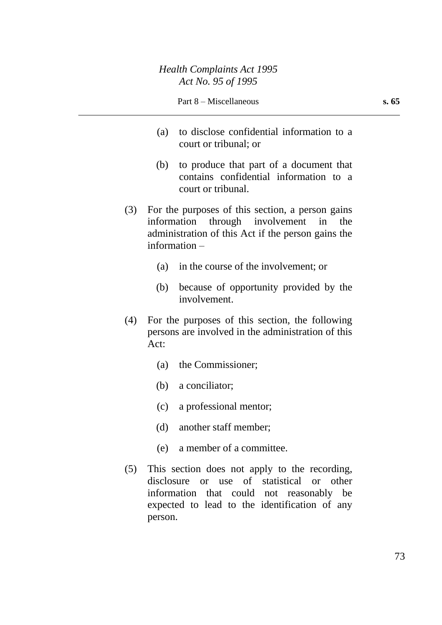- (a) to disclose confidential information to a court or tribunal; or
- (b) to produce that part of a document that contains confidential information to a court or tribunal.
- (3) For the purposes of this section, a person gains information through involvement in the administration of this Act if the person gains the information –
	- (a) in the course of the involvement; or
	- (b) because of opportunity provided by the involvement.
- (4) For the purposes of this section, the following persons are involved in the administration of this Act:
	- (a) the Commissioner;
	- (b) a conciliator;
	- (c) a professional mentor;
	- (d) another staff member;
	- (e) a member of a committee.
- (5) This section does not apply to the recording, disclosure or use of statistical or other information that could not reasonably be expected to lead to the identification of any person.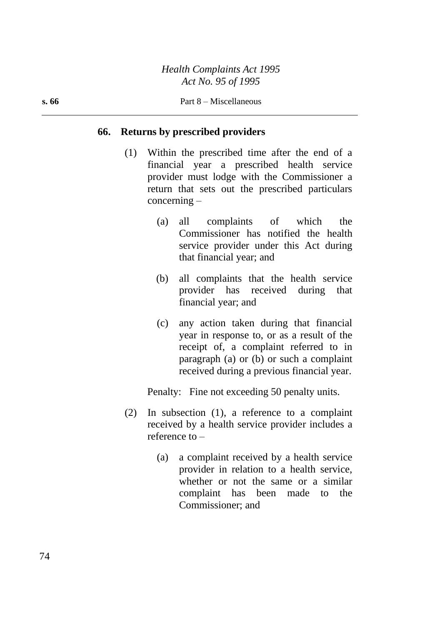#### **66. Returns by prescribed providers**

- (1) Within the prescribed time after the end of a financial year a prescribed health service provider must lodge with the Commissioner a return that sets out the prescribed particulars concerning –
	- (a) all complaints of which the Commissioner has notified the health service provider under this Act during that financial year; and
	- (b) all complaints that the health service provider has received during that financial year; and
	- (c) any action taken during that financial year in response to, or as a result of the receipt of, a complaint referred to in paragraph (a) or (b) or such a complaint received during a previous financial year.

Penalty: Fine not exceeding 50 penalty units.

- (2) In subsection (1), a reference to a complaint received by a health service provider includes a reference to –
	- (a) a complaint received by a health service provider in relation to a health service, whether or not the same or a similar complaint has been made to the Commissioner; and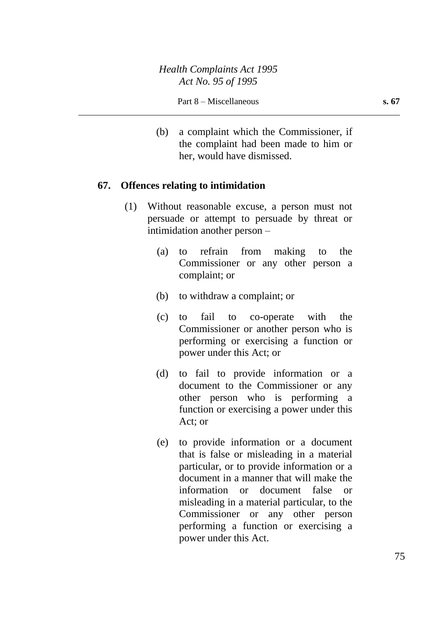(b) a complaint which the Commissioner, if the complaint had been made to him or her, would have dismissed.

### **67. Offences relating to intimidation**

- (1) Without reasonable excuse, a person must not persuade or attempt to persuade by threat or intimidation another person –
	- (a) to refrain from making to the Commissioner or any other person a complaint; or
	- (b) to withdraw a complaint; or
	- (c) to fail to co-operate with the Commissioner or another person who is performing or exercising a function or power under this Act; or
	- (d) to fail to provide information or a document to the Commissioner or any other person who is performing a function or exercising a power under this Act; or
	- (e) to provide information or a document that is false or misleading in a material particular, or to provide information or a document in a manner that will make the information or document false or misleading in a material particular, to the Commissioner or any other person performing a function or exercising a power under this Act.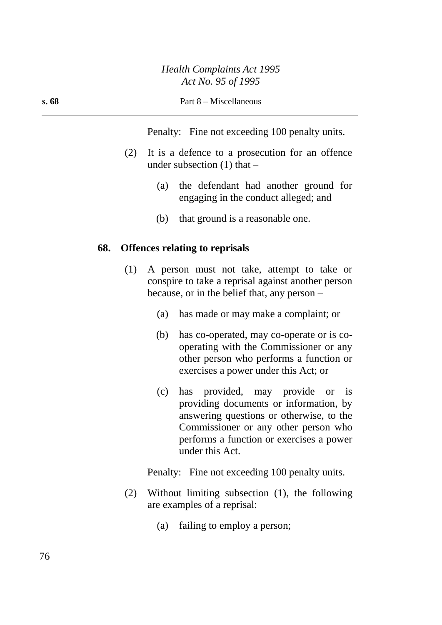#### **s. 68** Part 8 – Miscellaneous

Penalty: Fine not exceeding 100 penalty units.

- (2) It is a defence to a prosecution for an offence under subsection  $(1)$  that –
	- (a) the defendant had another ground for engaging in the conduct alleged; and
	- (b) that ground is a reasonable one.

#### **68. Offences relating to reprisals**

- (1) A person must not take, attempt to take or conspire to take a reprisal against another person because, or in the belief that, any person –
	- (a) has made or may make a complaint; or
	- (b) has co-operated, may co-operate or is cooperating with the Commissioner or any other person who performs a function or exercises a power under this Act; or
	- (c) has provided, may provide or is providing documents or information, by answering questions or otherwise, to the Commissioner or any other person who performs a function or exercises a power under this Act.

Penalty: Fine not exceeding 100 penalty units.

- (2) Without limiting subsection (1), the following are examples of a reprisal:
	- (a) failing to employ a person;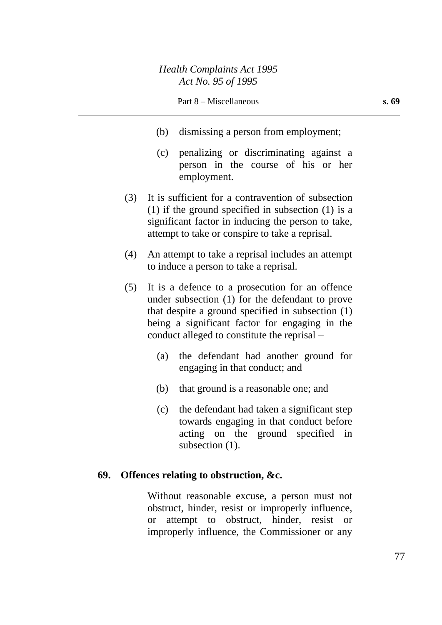- (b) dismissing a person from employment;
- (c) penalizing or discriminating against a person in the course of his or her employment.
- (3) It is sufficient for a contravention of subsection (1) if the ground specified in subsection (1) is a significant factor in inducing the person to take, attempt to take or conspire to take a reprisal.
- (4) An attempt to take a reprisal includes an attempt to induce a person to take a reprisal.
- (5) It is a defence to a prosecution for an offence under subsection (1) for the defendant to prove that despite a ground specified in subsection (1) being a significant factor for engaging in the conduct alleged to constitute the reprisal –
	- (a) the defendant had another ground for engaging in that conduct; and
	- (b) that ground is a reasonable one; and
	- (c) the defendant had taken a significant step towards engaging in that conduct before acting on the ground specified in subsection  $(1)$ .

### **69. Offences relating to obstruction, &c.**

Without reasonable excuse, a person must not obstruct, hinder, resist or improperly influence, or attempt to obstruct, hinder, resist or improperly influence, the Commissioner or any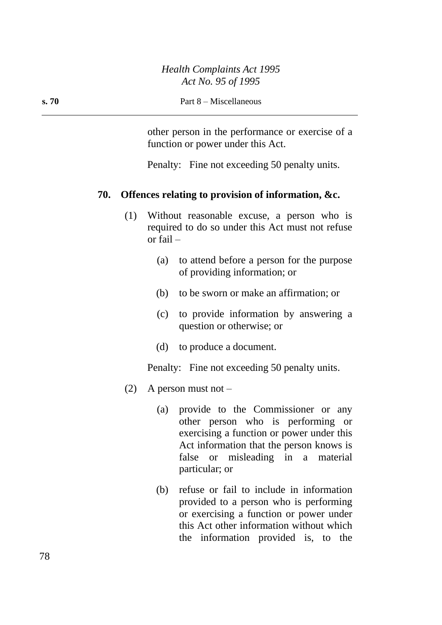other person in the performance or exercise of a function or power under this Act.

Penalty: Fine not exceeding 50 penalty units.

#### **70. Offences relating to provision of information, &c.**

- (1) Without reasonable excuse, a person who is required to do so under this Act must not refuse or fail –
	- (a) to attend before a person for the purpose of providing information; or
	- (b) to be sworn or make an affirmation; or
	- (c) to provide information by answering a question or otherwise; or
	- (d) to produce a document.

Penalty: Fine not exceeding 50 penalty units.

- (2) A person must not  $-$ 
	- (a) provide to the Commissioner or any other person who is performing or exercising a function or power under this Act information that the person knows is false or misleading in a material particular; or
	- (b) refuse or fail to include in information provided to a person who is performing or exercising a function or power under this Act other information without which the information provided is, to the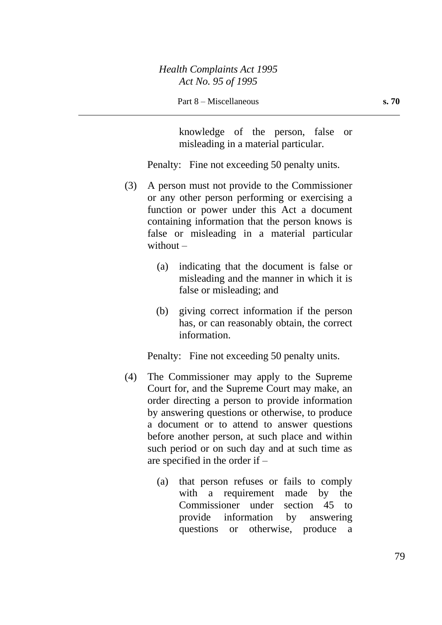knowledge of the person, false or misleading in a material particular.

Penalty: Fine not exceeding 50 penalty units.

- (3) A person must not provide to the Commissioner or any other person performing or exercising a function or power under this Act a document containing information that the person knows is false or misleading in a material particular without –
	- (a) indicating that the document is false or misleading and the manner in which it is false or misleading; and
	- (b) giving correct information if the person has, or can reasonably obtain, the correct information.

Penalty: Fine not exceeding 50 penalty units.

- (4) The Commissioner may apply to the Supreme Court for, and the Supreme Court may make, an order directing a person to provide information by answering questions or otherwise, to produce a document or to attend to answer questions before another person, at such place and within such period or on such day and at such time as are specified in the order if –
	- (a) that person refuses or fails to comply with a requirement made by the Commissioner under section 45 to provide information by answering questions or otherwise, produce a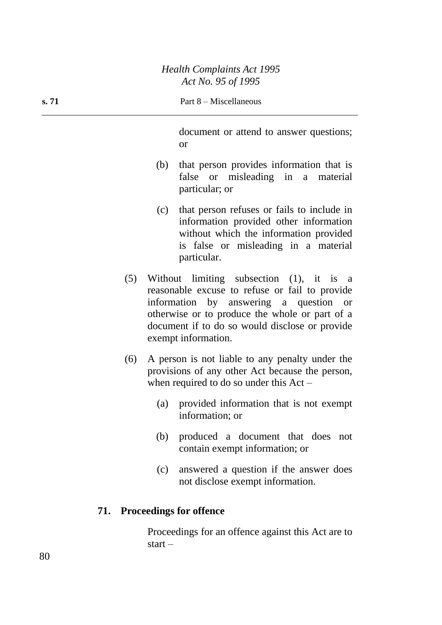#### **s. 71** Part 8 – Miscellaneous

document or attend to answer questions; or

- (b) that person provides information that is false or misleading in a material particular; or
- (c) that person refuses or fails to include in information provided other information without which the information provided is false or misleading in a material particular.
- (5) Without limiting subsection (1), it is a reasonable excuse to refuse or fail to provide information by answering a question or otherwise or to produce the whole or part of a document if to do so would disclose or provide exempt information.
- (6) A person is not liable to any penalty under the provisions of any other Act because the person, when required to do so under this Act –
	- (a) provided information that is not exempt information; or
	- (b) produced a document that does not contain exempt information; or
	- (c) answered a question if the answer does not disclose exempt information.

#### **71. Proceedings for offence**

Proceedings for an offence against this Act are to start –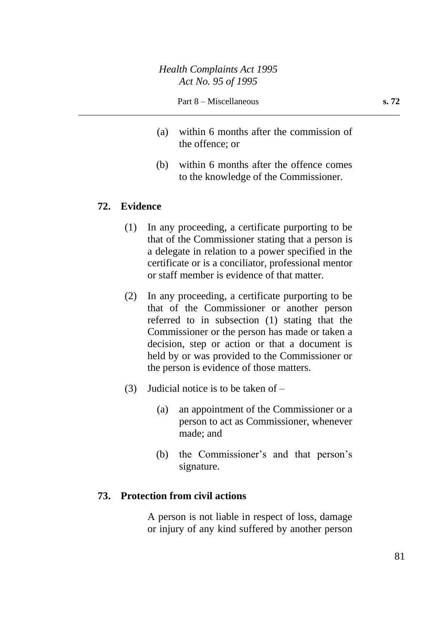- (a) within 6 months after the commission of the offence; or
- (b) within 6 months after the offence comes to the knowledge of the Commissioner.

## **72. Evidence**

- (1) In any proceeding, a certificate purporting to be that of the Commissioner stating that a person is a delegate in relation to a power specified in the certificate or is a conciliator, professional mentor or staff member is evidence of that matter.
- (2) In any proceeding, a certificate purporting to be that of the Commissioner or another person referred to in subsection (1) stating that the Commissioner or the person has made or taken a decision, step or action or that a document is held by or was provided to the Commissioner or the person is evidence of those matters.
- (3) Judicial notice is to be taken of
	- (a) an appointment of the Commissioner or a person to act as Commissioner, whenever made; and
	- (b) the Commissioner's and that person's signature.

#### **73. Protection from civil actions**

A person is not liable in respect of loss, damage or injury of any kind suffered by another person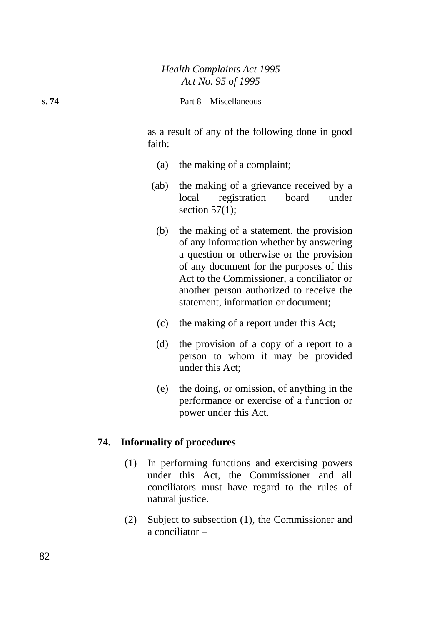as a result of any of the following done in good faith:

- (a) the making of a complaint;
- (ab) the making of a grievance received by a local registration board under section  $57(1)$ ;
	- (b) the making of a statement, the provision of any information whether by answering a question or otherwise or the provision of any document for the purposes of this Act to the Commissioner, a conciliator or another person authorized to receive the statement, information or document;
	- (c) the making of a report under this Act;
	- (d) the provision of a copy of a report to a person to whom it may be provided under this Act;
	- (e) the doing, or omission, of anything in the performance or exercise of a function or power under this Act.

### **74. Informality of procedures**

- (1) In performing functions and exercising powers under this Act, the Commissioner and all conciliators must have regard to the rules of natural justice.
- (2) Subject to subsection (1), the Commissioner and a conciliator –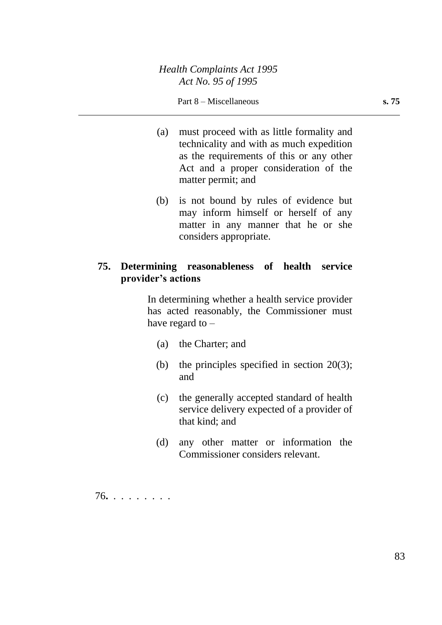#### Part 8 – Miscellaneous **s. 75**

- (a) must proceed with as little formality and technicality and with as much expedition as the requirements of this or any other Act and a proper consideration of the matter permit; and
- (b) is not bound by rules of evidence but may inform himself or herself of any matter in any manner that he or she considers appropriate.

### **75. Determining reasonableness of health service provider's actions**

In determining whether a health service provider has acted reasonably, the Commissioner must have regard to  $-$ 

- (a) the Charter; and
- (b) the principles specified in section  $20(3)$ ; and
- (c) the generally accepted standard of health service delivery expected of a provider of that kind; and
- (d) any other matter or information the Commissioner considers relevant.

76**.** . . . . . . . .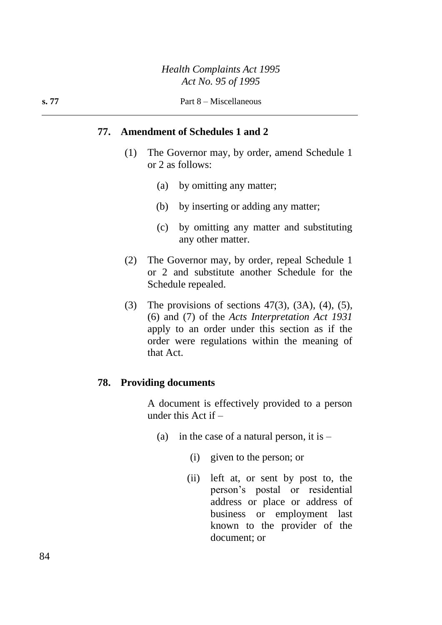### **77. Amendment of Schedules 1 and 2**

- (1) The Governor may, by order, amend Schedule 1 or 2 as follows:
	- (a) by omitting any matter;
	- (b) by inserting or adding any matter;
	- (c) by omitting any matter and substituting any other matter.
- (2) The Governor may, by order, repeal Schedule 1 or 2 and substitute another Schedule for the Schedule repealed.
- (3) The provisions of sections  $47(3)$ ,  $(3A)$ ,  $(4)$ ,  $(5)$ , (6) and (7) of the *Acts Interpretation Act 1931* apply to an order under this section as if the order were regulations within the meaning of that Act.

#### **78. Providing documents**

A document is effectively provided to a person under this Act if –

- (a) in the case of a natural person, it is  $-$ 
	- (i) given to the person; or
	- (ii) left at, or sent by post to, the person's postal or residential address or place or address of business or employment last known to the provider of the document; or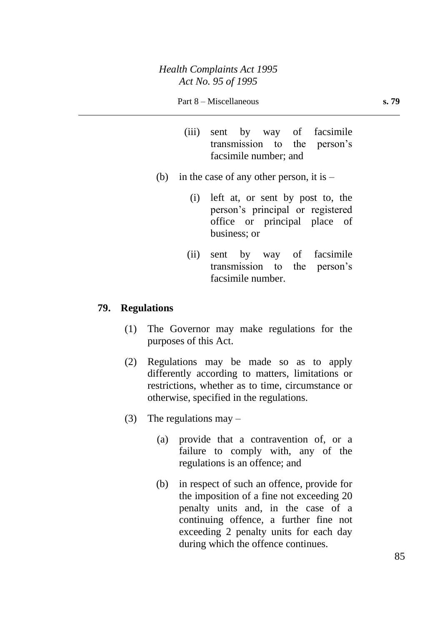#### Part 8 – Miscellaneous **s. 79**

- (iii) sent by way of facsimile transmission to the person's facsimile number; and
- (b) in the case of any other person, it is  $-$ 
	- (i) left at, or sent by post to, the person's principal or registered office or principal place of business; or
	- (ii) sent by way of facsimile transmission to the person's facsimile number.

#### **79. Regulations**

- (1) The Governor may make regulations for the purposes of this Act.
- (2) Regulations may be made so as to apply differently according to matters, limitations or restrictions, whether as to time, circumstance or otherwise, specified in the regulations.
- (3) The regulations may  $-$ 
	- (a) provide that a contravention of, or a failure to comply with, any of the regulations is an offence; and
	- (b) in respect of such an offence, provide for the imposition of a fine not exceeding 20 penalty units and, in the case of a continuing offence, a further fine not exceeding 2 penalty units for each day during which the offence continues.

85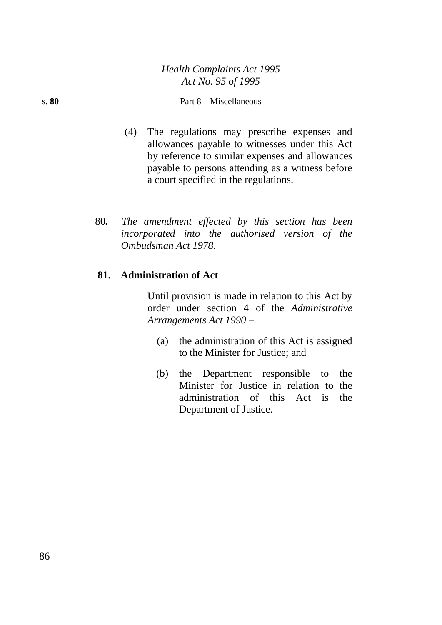#### **s. 80** Part 8 – Miscellaneous

- (4) The regulations may prescribe expenses and allowances payable to witnesses under this Act by reference to similar expenses and allowances payable to persons attending as a witness before a court specified in the regulations.
- 80*. The amendment effected by this section has been incorporated into the authorised version of the Ombudsman Act 1978.*

## **81. Administration of Act**

Until provision is made in relation to this Act by order under section 4 of the *Administrative Arrangements Act 1990* –

- (a) the administration of this Act is assigned to the Minister for Justice; and
- (b) the Department responsible to the Minister for Justice in relation to the administration of this Act is the Department of Justice.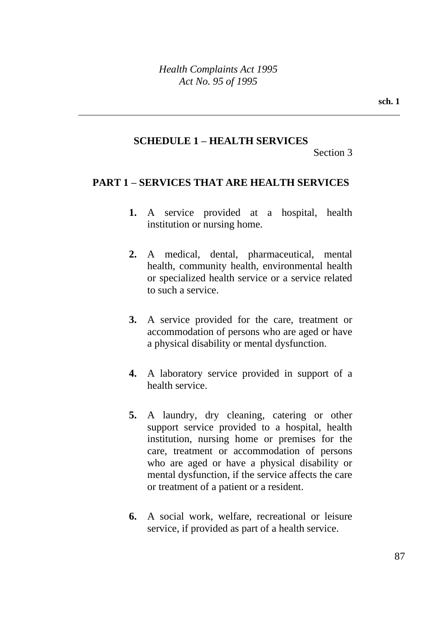### **SCHEDULE 1 – HEALTH SERVICES**

Section 3

### **PART 1 – SERVICES THAT ARE HEALTH SERVICES**

- **1.** A service provided at a hospital, health institution or nursing home.
- **2.** A medical, dental, pharmaceutical, mental health, community health, environmental health or specialized health service or a service related to such a service.
- **3.** A service provided for the care, treatment or accommodation of persons who are aged or have a physical disability or mental dysfunction.
- **4.** A laboratory service provided in support of a health service.
- **5.** A laundry, dry cleaning, catering or other support service provided to a hospital, health institution, nursing home or premises for the care, treatment or accommodation of persons who are aged or have a physical disability or mental dysfunction, if the service affects the care or treatment of a patient or a resident.
- **6.** A social work, welfare, recreational or leisure service, if provided as part of a health service.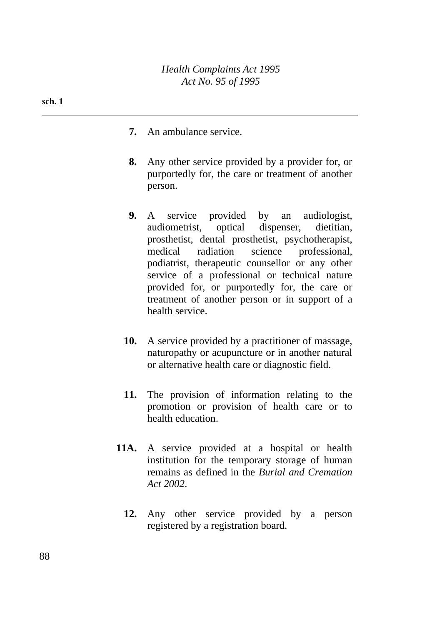- **sch. 1**
- **7.** An ambulance service.
- **8.** Any other service provided by a provider for, or purportedly for, the care or treatment of another person.
- **9.** A service provided by an audiologist, audiometrist, optical dispenser, dietitian, prosthetist, dental prosthetist, psychotherapist, medical radiation science professional, podiatrist, therapeutic counsellor or any other service of a professional or technical nature provided for, or purportedly for, the care or treatment of another person or in support of a health service.
- **10.** A service provided by a practitioner of massage, naturopathy or acupuncture or in another natural or alternative health care or diagnostic field.
- **11.** The provision of information relating to the promotion or provision of health care or to health education.
- **11A.** A service provided at a hospital or health institution for the temporary storage of human remains as defined in the *Burial and Cremation Act 2002*.
	- **12.** Any other service provided by a person registered by a registration board.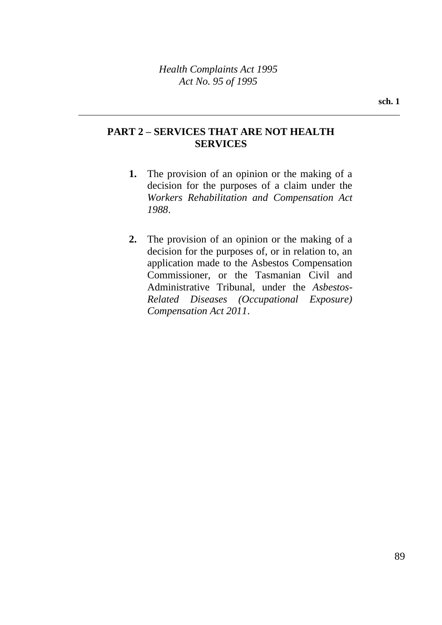## **PART 2 – SERVICES THAT ARE NOT HEALTH SERVICES**

- **1.** The provision of an opinion or the making of a decision for the purposes of a claim under the *Workers Rehabilitation and Compensation Act 1988*.
- **2.** The provision of an opinion or the making of a decision for the purposes of, or in relation to, an application made to the Asbestos Compensation Commissioner, or the Tasmanian Civil and Administrative Tribunal, under the *Asbestos-Related Diseases (Occupational Exposure) Compensation Act 2011*.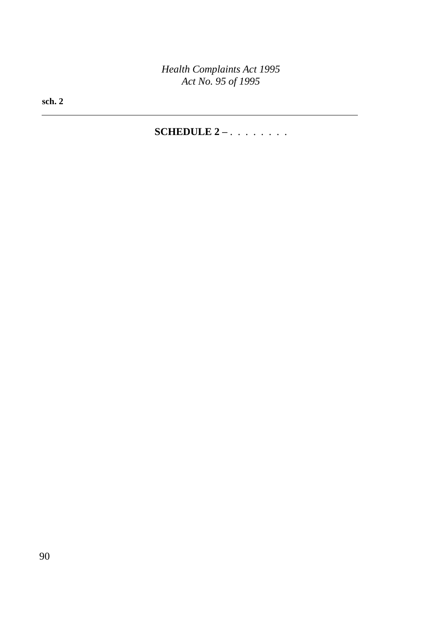**sch. 2**

## **SCHEDULE 2 –** . . . . . . . .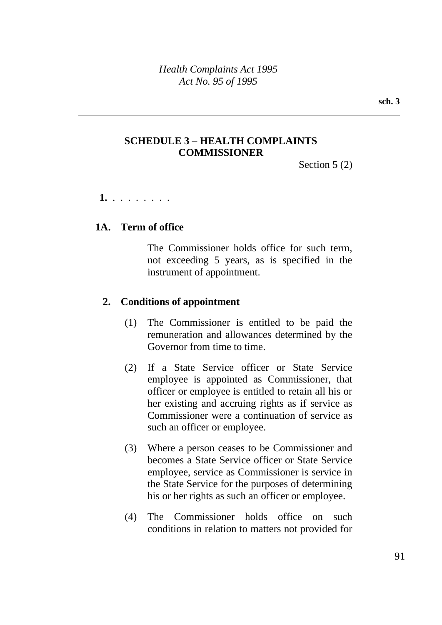## **SCHEDULE 3 – HEALTH COMPLAINTS COMMISSIONER**

Section 5 (2)

 **1.** . . . . . . . .

## **1A. Term of office**

The Commissioner holds office for such term, not exceeding 5 years, as is specified in the instrument of appointment.

## **2. Conditions of appointment**

- (1) The Commissioner is entitled to be paid the remuneration and allowances determined by the Governor from time to time.
- (2) If a State Service officer or State Service employee is appointed as Commissioner, that officer or employee is entitled to retain all his or her existing and accruing rights as if service as Commissioner were a continuation of service as such an officer or employee.
- (3) Where a person ceases to be Commissioner and becomes a State Service officer or State Service employee, service as Commissioner is service in the State Service for the purposes of determining his or her rights as such an officer or employee.
- (4) The Commissioner holds office on such conditions in relation to matters not provided for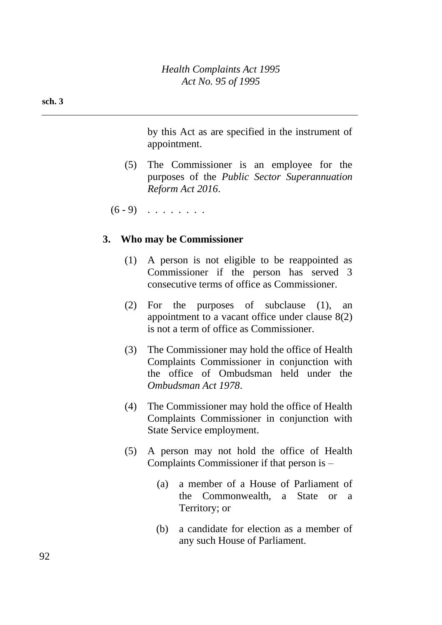by this Act as are specified in the instrument of appointment.

(5) The Commissioner is an employee for the purposes of the *Public Sector Superannuation Reform Act 2016*.

 $(6 - 9)$  . . . . . . .

### **3. Who may be Commissioner**

- (1) A person is not eligible to be reappointed as Commissioner if the person has served 3 consecutive terms of office as Commissioner.
- (2) For the purposes of subclause (1), an appointment to a vacant office under clause 8(2) is not a term of office as Commissioner.
- (3) The Commissioner may hold the office of Health Complaints Commissioner in conjunction with the office of Ombudsman held under the *Ombudsman Act 1978*.
- (4) The Commissioner may hold the office of Health Complaints Commissioner in conjunction with State Service employment.
- (5) A person may not hold the office of Health Complaints Commissioner if that person is –
	- (a) a member of a House of Parliament of the Commonwealth, a State or a Territory; or
	- (b) a candidate for election as a member of any such House of Parliament.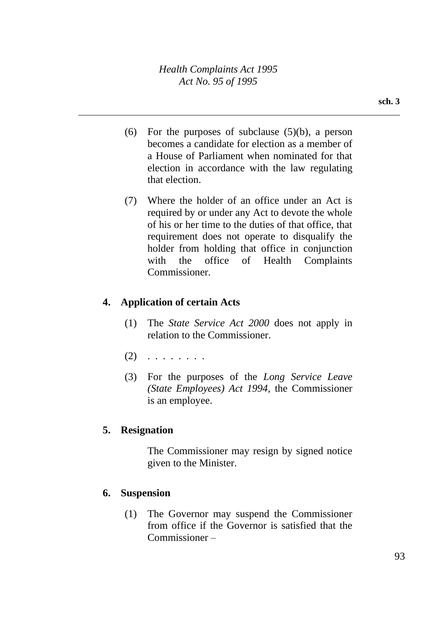- (6) For the purposes of subclause  $(5)(b)$ , a person becomes a candidate for election as a member of a House of Parliament when nominated for that election in accordance with the law regulating that election.
- (7) Where the holder of an office under an Act is required by or under any Act to devote the whole of his or her time to the duties of that office, that requirement does not operate to disqualify the holder from holding that office in conjunction with the office of Health Complaints Commissioner.

## **4. Application of certain Acts**

- (1) The *State Service Act 2000* does not apply in relation to the Commissioner.
- $(2)$  . . . . . . . .
- (3) For the purposes of the *Long Service Leave (State Employees) Act 1994*, the Commissioner is an employee.

## **5. Resignation**

The Commissioner may resign by signed notice given to the Minister.

## **6. Suspension**

(1) The Governor may suspend the Commissioner from office if the Governor is satisfied that the Commissioner –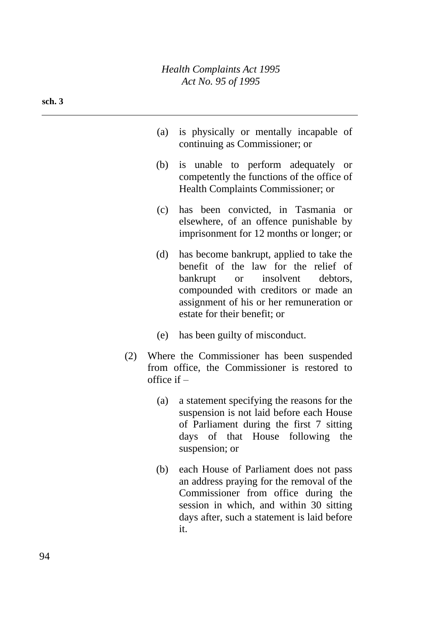- (a) is physically or mentally incapable of continuing as Commissioner; or
- (b) is unable to perform adequately or competently the functions of the office of Health Complaints Commissioner; or
- (c) has been convicted, in Tasmania or elsewhere, of an offence punishable by imprisonment for 12 months or longer; or
- (d) has become bankrupt, applied to take the benefit of the law for the relief of bankrupt or insolvent debtors, compounded with creditors or made an assignment of his or her remuneration or estate for their benefit; or
- (e) has been guilty of misconduct.
- (2) Where the Commissioner has been suspended from office, the Commissioner is restored to office if –
	- (a) a statement specifying the reasons for the suspension is not laid before each House of Parliament during the first 7 sitting days of that House following the suspension; or
	- (b) each House of Parliament does not pass an address praying for the removal of the Commissioner from office during the session in which, and within 30 sitting days after, such a statement is laid before it.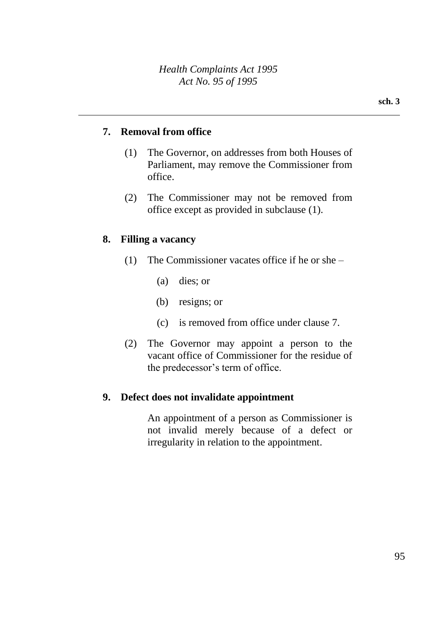### **7. Removal from office**

- (1) The Governor, on addresses from both Houses of Parliament, may remove the Commissioner from office.
- (2) The Commissioner may not be removed from office except as provided in subclause (1).

#### **8. Filling a vacancy**

- (1) The Commissioner vacates office if he or she
	- (a) dies; or
	- (b) resigns; or
	- (c) is removed from office under clause 7.
- (2) The Governor may appoint a person to the vacant office of Commissioner for the residue of the predecessor's term of office.

#### **9. Defect does not invalidate appointment**

An appointment of a person as Commissioner is not invalid merely because of a defect or irregularity in relation to the appointment.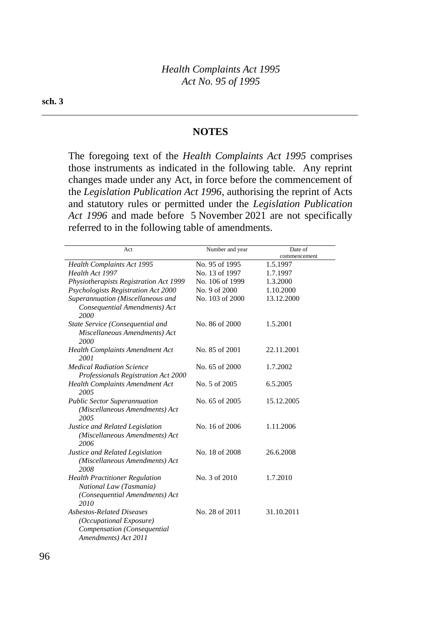### **NOTES**

The foregoing text of the *Health Complaints Act 1995* comprises those instruments as indicated in the following table. Any reprint changes made under any Act, in force before the commencement of the *Legislation Publication Act 1996*, authorising the reprint of Acts and statutory rules or permitted under the *Legislation Publication Act 1996* and made before 5 November 2021 are not specifically referred to in the following table of amendments.

| Act                                                                                                                | Number and year | Date of      |
|--------------------------------------------------------------------------------------------------------------------|-----------------|--------------|
|                                                                                                                    |                 | commencement |
| Health Complaints Act 1995                                                                                         | No. 95 of 1995  | 1.5.1997     |
| Health Act 1997                                                                                                    | No. 13 of 1997  | 1.7.1997     |
| Physiotherapists Registration Act 1999                                                                             | No. 106 of 1999 | 1.3.2000     |
| Psychologists Registration Act 2000                                                                                | No. 9 of 2000   | 1.10.2000    |
| Superannuation (Miscellaneous and<br>Consequential Amendments) Act<br>2000                                         | No. 103 of 2000 | 13.12.2000   |
| State Service (Consequential and<br>Miscellaneous Amendments) Act<br>2000                                          | No. 86 of 2000  | 1.5.2001     |
| <b>Health Complaints Amendment Act</b><br>2001                                                                     | No. 85 of 2001  | 22.11.2001   |
| <b>Medical Radiation Science</b><br>Professionals Registration Act 2000                                            | No. 65 of 2000  | 1.7.2002     |
| <b>Health Complaints Amendment Act</b><br>2005                                                                     | No. 5 of 2005   | 6.5.2005     |
| <b>Public Sector Superannuation</b><br>(Miscellaneous Amendments) Act<br>2005                                      | No. 65 of 2005  | 15.12.2005   |
| Justice and Related Legislation<br>(Miscellaneous Amendments) Act<br>2006                                          | No. 16 of 2006  | 1.11.2006    |
| Justice and Related Legislation<br>(Miscellaneous Amendments) Act<br>2008                                          | No. 18 of 2008  | 26.6.2008    |
| <b>Health Practitioner Regulation</b><br>National Law (Tasmania)<br>(Consequential Amendments) Act<br>2010         | No. 3 of 2010   | 1.7.2010     |
| <b>Asbestos-Related Diseases</b><br>(Occupational Exposure)<br>Compensation (Consequential<br>Amendments) Act 2011 | No. 28 of 2011  | 31.10.2011   |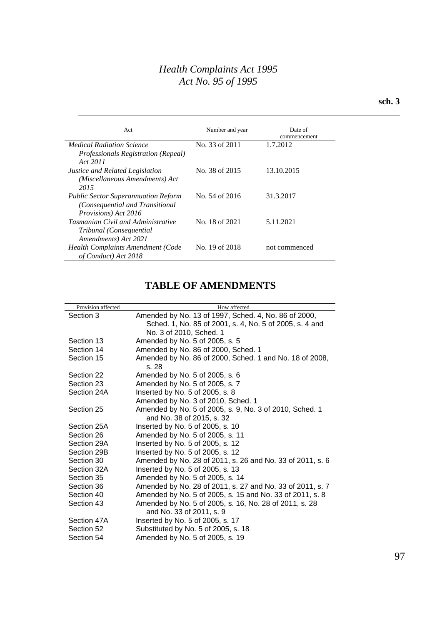#### **sch. 3**

| Act                                                                                                   | Number and year | Date of       |
|-------------------------------------------------------------------------------------------------------|-----------------|---------------|
|                                                                                                       |                 | commencement  |
| <b>Medical Radiation Science</b>                                                                      | No. 33 of 2011  | 1.7.2012      |
| <i>Professionals Registration (Repeal)</i><br>Act 2011                                                |                 |               |
| Justice and Related Legislation<br>(Miscellaneous Amendments) Act<br>2015                             | No. 38 of 2015  | 13.10.2015    |
| <b>Public Sector Superannuation Reform</b><br>(Consequential and Transitional<br>Provisions) Act 2016 | No. 54 of 2016  | 31.3.2017     |
| <b>Tasmanian Civil and Administrative</b><br>Tribunal (Consequential<br>Amendments) Act 2021          | No. 18 of 2021  | 5.11.2021     |
| <b>Health Complaints Amendment (Code</b><br>of Conduct) Act 2018                                      | No. 19 of 2018  | not commenced |

# **TABLE OF AMENDMENTS**

| Provision affected | How affected                                                                         |  |
|--------------------|--------------------------------------------------------------------------------------|--|
| Section 3          | Amended by No. 13 of 1997, Sched. 4, No. 86 of 2000,                                 |  |
|                    | Sched. 1, No. 85 of 2001, s. 4, No. 5 of 2005, s. 4 and                              |  |
|                    | No. 3 of 2010, Sched. 1                                                              |  |
| Section 13         | Amended by No. 5 of 2005, s. 5                                                       |  |
| Section 14         | Amended by No. 86 of 2000, Sched. 1                                                  |  |
| Section 15         | Amended by No. 86 of 2000, Sched. 1 and No. 18 of 2008,<br>s. 28                     |  |
| Section 22         | Amended by No. 5 of 2005, s. 6                                                       |  |
| Section 23         | Amended by No. 5 of 2005, s. 7                                                       |  |
| Section 24A        | Inserted by No. 5 of 2005, s. 8                                                      |  |
|                    | Amended by No. 3 of 2010, Sched. 1                                                   |  |
| Section 25         | Amended by No. 5 of 2005, s. 9, No. 3 of 2010, Sched. 1<br>and No. 38 of 2015, s. 32 |  |
| Section 25A        | Inserted by No. 5 of 2005, s. 10                                                     |  |
| Section 26         | Amended by No. 5 of 2005, s. 11                                                      |  |
| Section 29A        | Inserted by No. 5 of 2005, s. 12                                                     |  |
| Section 29B        | Inserted by No. 5 of 2005, s. 12                                                     |  |
| Section 30         | Amended by No. 28 of 2011, s. 26 and No. 33 of 2011, s. 6                            |  |
| Section 32A        | Inserted by No. 5 of 2005, s. 13                                                     |  |
| Section 35         | Amended by No. 5 of 2005, s. 14                                                      |  |
| Section 36         | Amended by No. 28 of 2011, s. 27 and No. 33 of 2011, s. 7                            |  |
| Section 40         | Amended by No. 5 of 2005, s. 15 and No. 33 of 2011, s. 8                             |  |
| Section 43         | Amended by No. 5 of 2005, s. 16, No. 28 of 2011, s. 28<br>and No. 33 of 2011, s. 9   |  |
| Section 47A        | Inserted by No. 5 of 2005, s. 17                                                     |  |
| Section 52         | Substituted by No. 5 of 2005, s. 18                                                  |  |
| Section 54         | Amended by No. 5 of 2005, s. 19                                                      |  |